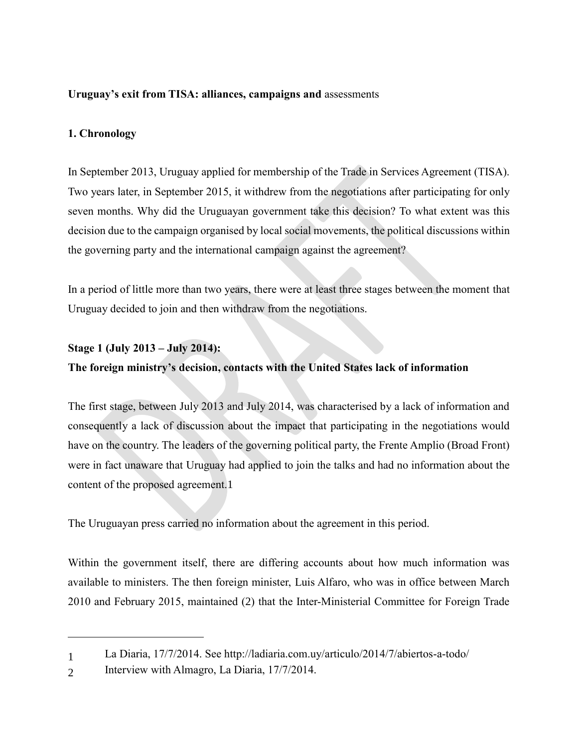## **Uruguay's exit from TISA: alliances, campaigns and** assessments

# **1. Chronology**

In September 2013, Uruguay applied for membership of the Trade in Services Agreement (TISA). Two years later, in September 2015, it withdrew from the negotiations after participating for only seven months. Why did the Uruguayan government take this decision? To what extent was this decision due to the campaign organised by local social movements, the political discussions within the governing party and the international campaign against the agreement?

In a period of little more than two years, there were at least three stages between the moment that Uruguay decided to join and then withdraw from the negotiations.

## **Stage 1 (July 2013 – July 2014):**

# **The foreign ministry's decision, contacts with the United States lack of information**

The first stage, between July 2013 and July 2014, was characterised by a lack of information and consequently a lack of discussion about the impact that participating in the negotiations would have on the country. The leaders of the governing political party, the Frente Amplio (Broad Front) were in fact unaware that Uruguay had applied to join the talks and had no information about the content of the proposed agreement.1

The Uruguayan press carried no information about the agreement in this period.

Within the government itself, there are differing accounts about how much information was available to ministers. The then foreign minister, Luis Alfaro, who was in office between March 2010 and February 2015, maintained (2) that the Inter-Ministerial Committee for Foreign Trade

<sup>1</sup> La Diaria, 17/7/2014. See http://ladiaria.com.uy/articulo/2014/7/abiertos-a-todo/

<sup>2</sup> Interview with Almagro, La Diaria, 17/7/2014.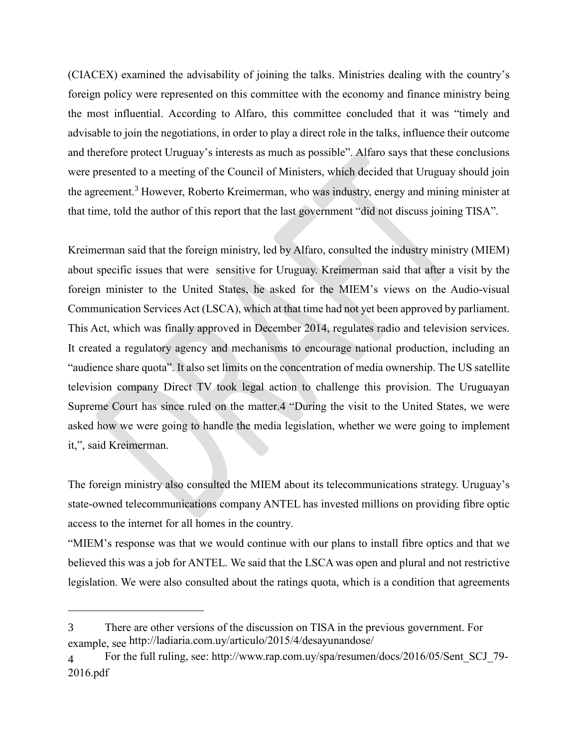(CIACEX) examined the advisability of joining the talks. Ministries dealing with the country's foreign policy were represented on this committee with the economy and finance ministry being the most influential. According to Alfaro, this committee concluded that it was "timely and advisable to join the negotiations, in order to play a direct role in the talks, influence their outcome and therefore protect Uruguay's interests as much as possible". Alfaro says that these conclusions were presented to a meeting of the Council of Ministers, which decided that Uruguay should join the agreement.<sup>3</sup> However, Roberto Kreimerman, who was industry, energy and mining minister at that time, told the author of this report that the last government "did not discuss joining TISA".

Kreimerman said that the foreign ministry, led by Alfaro, consulted the industry ministry (MIEM) about specific issues that were sensitive for Uruguay. Kreimerman said that after a visit by the foreign minister to the United States, he asked for the MIEM's views on the Audio-visual Communication Services Act (LSCA), which at that time had not yet been approved by parliament. This Act, which was finally approved in December 2014, regulates radio and television services. It created a regulatory agency and mechanisms to encourage national production, including an "audience share quota". It also set limits on the concentration of media ownership. The US satellite television company Direct TV took legal action to challenge this provision. The Uruguayan Supreme Court has since ruled on the matter.4 "During the visit to the United States, we were asked how we were going to handle the media legislation, whether we were going to implement it,", said Kreimerman.

The foreign ministry also consulted the MIEM about its telecommunications strategy. Uruguay's state-owned telecommunications company ANTEL has invested millions on providing fibre optic access to the internet for all homes in the country.

"MIEM's response was that we would continue with our plans to install fibre optics and that we believed this was a job for ANTEL. We said that the LSCA was open and plural and not restrictive legislation. We were also consulted about the ratings quota, which is a condition that agreements

<sup>3</sup> There are other versions of the discussion on TISA in the previous government. For example, see http://ladiaria.com.uy/articulo/2015/4/desayunandose/

<sup>4</sup> For the full ruling, see: http://www.rap.com.uy/spa/resumen/docs/2016/05/Sent\_SCJ\_79- 2016.pdf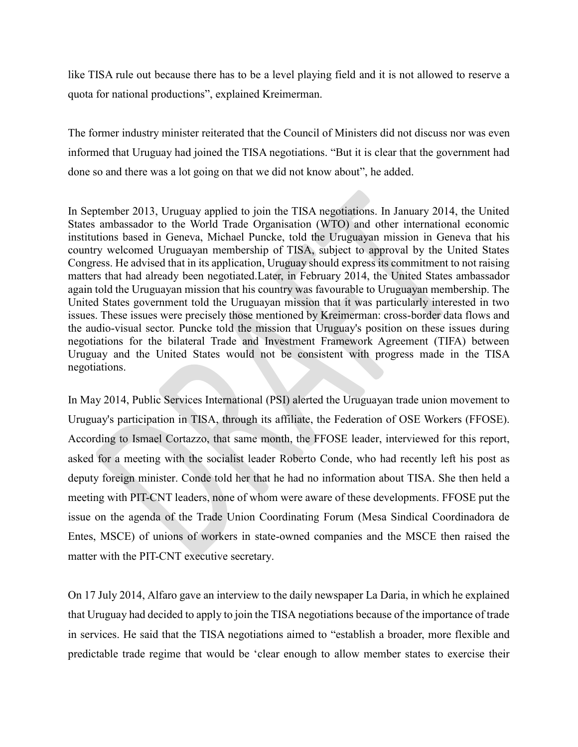like TISA rule out because there has to be a level playing field and it is not allowed to reserve a quota for national productions", explained Kreimerman.

The former industry minister reiterated that the Council of Ministers did not discuss nor was even informed that Uruguay had joined the TISA negotiations. "But it is clear that the government had done so and there was a lot going on that we did not know about", he added.

In September 2013, Uruguay applied to join the TISA negotiations. In January 2014, the United States ambassador to the World Trade Organisation (WTO) and other international economic institutions based in Geneva, Michael Puncke, told the Uruguayan mission in Geneva that his country welcomed Uruguayan membership of TISA, subject to approval by the United States Congress. He advised that in its application, Uruguay should express its commitment to not raising matters that had already been negotiated.Later, in February 2014, the United States ambassador again told the Uruguayan mission that his country was favourable to Uruguayan membership. The United States government told the Uruguayan mission that it was particularly interested in two issues. These issues were precisely those mentioned by Kreimerman: cross-border data flows and the audio-visual sector. Puncke told the mission that Uruguay's position on these issues during negotiations for the bilateral Trade and Investment Framework Agreement (TIFA) between Uruguay and the United States would not be consistent with progress made in the TISA negotiations.

In May 2014, Public Services International (PSI) alerted the Uruguayan trade union movement to Uruguay's participation in TISA, through its affiliate, the Federation of OSE Workers (FFOSE). According to Ismael Cortazzo, that same month, the FFOSE leader, interviewed for this report, asked for a meeting with the socialist leader Roberto Conde, who had recently left his post as deputy foreign minister. Conde told her that he had no information about TISA. She then held a meeting with PIT-CNT leaders, none of whom were aware of these developments. FFOSE put the issue on the agenda of the Trade Union Coordinating Forum (Mesa Sindical Coordinadora de Entes, MSCE) of unions of workers in state-owned companies and the MSCE then raised the matter with the PIT-CNT executive secretary.

On 17 July 2014, Alfaro gave an interview to the daily newspaper La Daria, in which he explained that Uruguay had decided to apply to join the TISA negotiations because of the importance of trade in services. He said that the TISA negotiations aimed to "establish a broader, more flexible and predictable trade regime that would be 'clear enough to allow member states to exercise their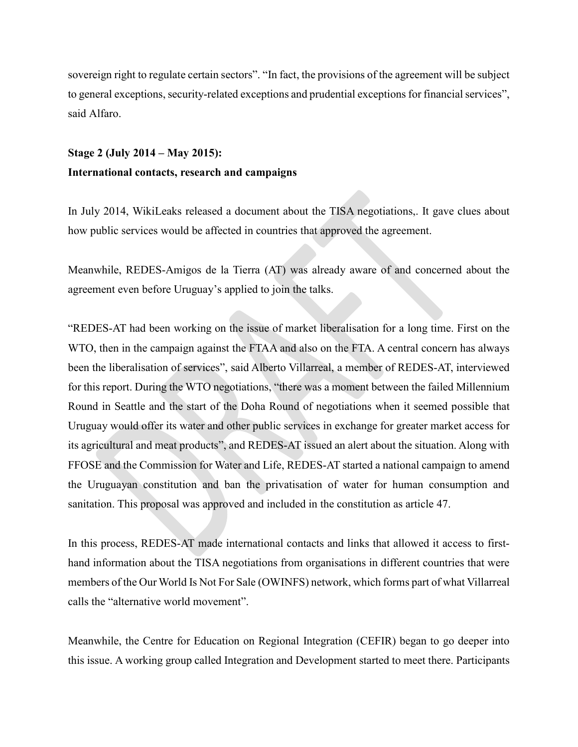sovereign right to regulate certain sectors". "In fact, the provisions of the agreement will be subject to general exceptions, security-related exceptions and prudential exceptionsfor financial services", said Alfaro.

# **Stage 2 (July 2014 – May 2015): International contacts, research and campaigns**

In July 2014, WikiLeaks released a document about the TISA negotiations,. It gave clues about how public services would be affected in countries that approved the agreement.

Meanwhile, REDES-Amigos de la Tierra (AT) was already aware of and concerned about the agreement even before Uruguay's applied to join the talks.

"REDES-AT had been working on the issue of market liberalisation for a long time. First on the WTO, then in the campaign against the FTAA and also on the FTA. A central concern has always been the liberalisation of services", said Alberto Villarreal, a member of REDES-AT, interviewed for this report. During the WTO negotiations, "there was a moment between the failed Millennium Round in Seattle and the start of the Doha Round of negotiations when it seemed possible that Uruguay would offer its water and other public services in exchange for greater market access for its agricultural and meat products", and REDES-AT issued an alert about the situation. Along with FFOSE and the Commission for Water and Life, REDES-AT started a national campaign to amend the Uruguayan constitution and ban the privatisation of water for human consumption and sanitation. This proposal was approved and included in the constitution as article 47.

In this process, REDES-AT made international contacts and links that allowed it access to firsthand information about the TISA negotiations from organisations in different countries that were members of the Our World Is Not For Sale (OWINFS) network, which forms part of what Villarreal calls the "alternative world movement".

Meanwhile, the Centre for Education on Regional Integration (CEFIR) began to go deeper into this issue. A working group called Integration and Development started to meet there. Participants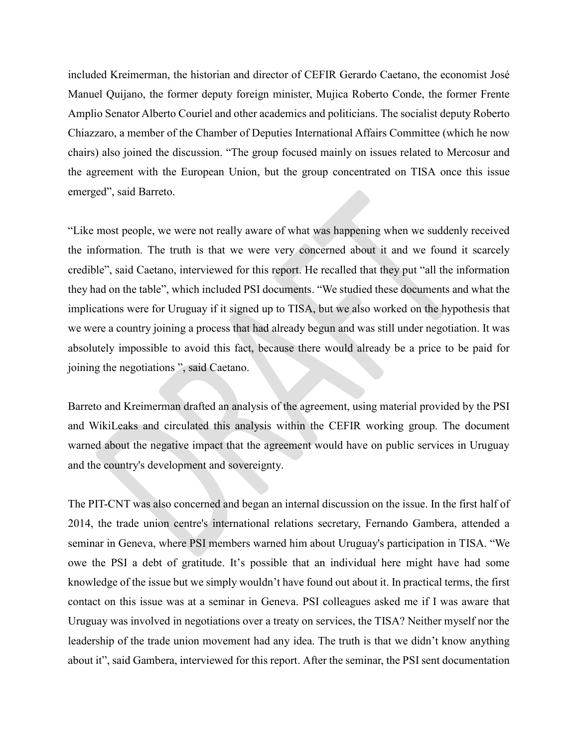included Kreimerman, the historian and director of CEFIR Gerardo Caetano, the economist José Manuel Quijano, the former deputy foreign minister, Mujica Roberto Conde, the former Frente Amplio Senator Alberto Couriel and other academics and politicians. The socialist deputy Roberto Chiazzaro, a member of the Chamber of Deputies International Affairs Committee (which he now chairs) also joined the discussion. "The group focused mainly on issues related to Mercosur and the agreement with the European Union, but the group concentrated on TISA once this issue emerged", said Barreto.

"Like most people, we were not really aware of what was happening when we suddenly received the information. The truth is that we were very concerned about it and we found it scarcely credible", said Caetano, interviewed for this report. He recalled that they put "all the information they had on the table", which included PSI documents. "We studied these documents and what the implications were for Uruguay if it signed up to TISA, but we also worked on the hypothesis that we were a country joining a process that had already begun and was still under negotiation. It was absolutely impossible to avoid this fact, because there would already be a price to be paid for joining the negotiations", said Caetano.

Barreto and Kreimerman drafted an analysis of the agreement, using material provided by the PSI and WikiLeaks and circulated this analysis within the CEFIR working group. The document warned about the negative impact that the agreement would have on public services in Uruguay and the country's development and sovereignty.

The PIT-CNT was also concerned and began an internal discussion on the issue. In the first half of 2014, the trade union centre's international relations secretary, Fernando Gambera, attended a seminar in Geneva, where PSI members warned him about Uruguay's participation in TISA. "We owe the PSI a debt of gratitude. It's possible that an individual here might have had some knowledge of the issue but we simply wouldn't have found out about it. In practical terms, the first contact on this issue was at a seminar in Geneva. PSI colleagues asked me if I was aware that Uruguay was involved in negotiations over a treaty on services, the TISA? Neither myself nor the leadership of the trade union movement had any idea. The truth is that we didn't know anything about it", said Gambera, interviewed for this report. After the seminar, the PSI sent documentation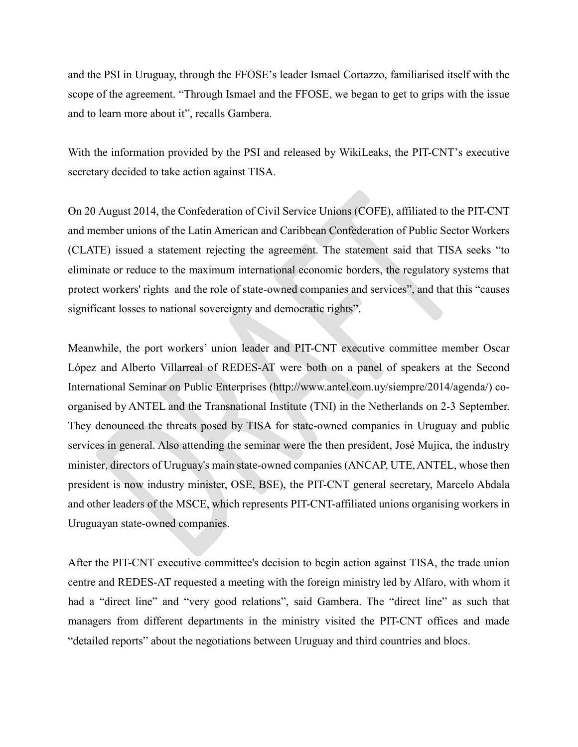and the PSI in Uruguay, through the FFOSE's leader Ismael Cortazzo, familiarised itself with the scope of the agreement. "Through Ismael and the FFOSE, we began to get to grips with the issue and to learn more about it", recalls Gambera.

With the information provided by the PSI and released by WikiLeaks, the PIT-CNT's executive secretary decided to take action against TISA.

On 20 August 2014, the Confederation of Civil Service Unions (COFE), affiliated to the PIT-CNT and member unions of the Latin American and Caribbean Confederation of Public Sector Workers (CLATE) issued a statement rejecting the agreement. The statement said that TISA seeks "to eliminate or reduce to the maximum international economic borders, the regulatory systems that protect workers' rights and the role of state-owned companies and services", and that this "causes significant losses to national sovereignty and democratic rights".

Meanwhile, the port workers' union leader and PIT-CNT executive committee member Oscar López and Alberto Villarreal of REDES-AT were both on a panel of speakers at the Second International Seminar on Public Enterprises (http://www.antel.com.uy/siempre/2014/agenda/) coorganised by ANTEL and the Transnational Institute (TNI) in the Netherlands on 2-3 September. They denounced the threats posed by TISA for state-owned companies in Uruguay and public services in general. Also attending the seminar were the then president, José Mujica, the industry minister, directors of Uruguay's main state-owned companies (ANCAP, UTE, ANTEL, whose then president is now industry minister, OSE, BSE), the PIT-CNT general secretary, Marcelo Abdala and other leaders of the MSCE, which represents PIT-CNT-affiliated unions organising workers in Uruguayan state-owned companies.

After the PIT-CNT executive committee's decision to begin action against TISA, the trade union centre and REDES-AT requested a meeting with the foreign ministry led by Alfaro, with whom it had a "direct line" and "very good relations", said Gambera. The "direct line" as such that managers from different departments in the ministry visited the PIT-CNT offices and made "detailed reports" about the negotiations between Uruguay and third countries and blocs.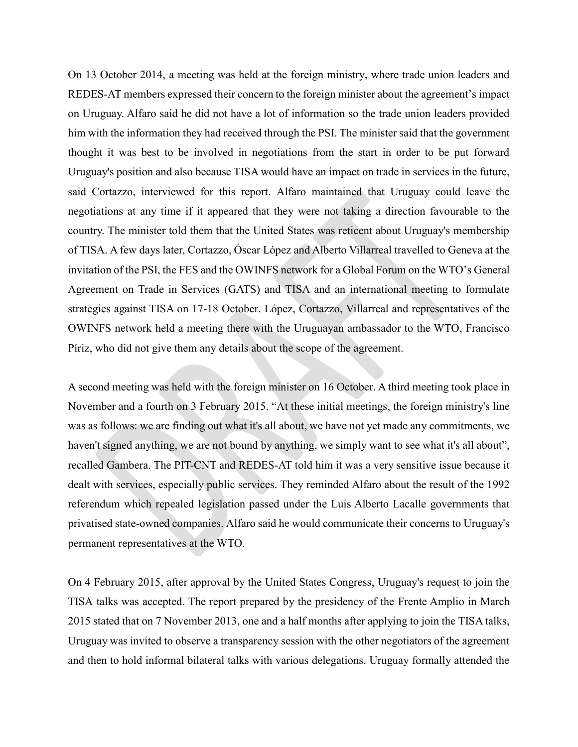On 13 October 2014, a meeting was held at the foreign ministry, where trade union leaders and REDES-AT members expressed their concern to the foreign minister about the agreement's impact on Uruguay. Alfaro said he did not have a lot of information so the trade union leaders provided him with the information they had received through the PSI. The minister said that the government thought it was best to be involved in negotiations from the start in order to be put forward Uruguay's position and also because TISA would have an impact on trade in services in the future, said Cortazzo, interviewed for this report. Alfaro maintained that Uruguay could leave the negotiations at any time if it appeared that they were not taking a direction favourable to the country. The minister told them that the United States was reticent about Uruguay's membership of TISA. A few days later, Cortazzo, Óscar López and Alberto Villarreal travelled to Geneva at the invitation of the PSI, the FES and the OWINFS network for a Global Forum on the WTO's General Agreement on Trade in Services (GATS) and TISA and an international meeting to formulate strategies against TISA on 17-18 October. López, Cortazzo, Villarreal and representatives of the OWINFS network held a meeting there with the Uruguayan ambassador to the WTO, Francisco Píriz, who did not give them any details about the scope of the agreement.

A second meeting was held with the foreign minister on 16 October. A third meeting took place in November and a fourth on 3 February 2015. "At these initial meetings, the foreign ministry's line was as follows: we are finding out what it's all about, we have not yet made any commitments, we haven't signed anything, we are not bound by anything, we simply want to see what it's all about", recalled Gambera. The PIT-CNT and REDES-AT told him it was a very sensitive issue because it dealt with services, especially public services. They reminded Alfaro about the result of the 1992 referendum which repealed legislation passed under the Luis Alberto Lacalle governments that privatised state-owned companies. Alfaro said he would communicate their concerns to Uruguay's permanent representatives at the WTO.

On 4 February 2015, after approval by the United States Congress, Uruguay's request to join the TISA talks was accepted. The report prepared by the presidency of the Frente Amplio in March 2015 stated that on 7 November 2013, one and a half months after applying to join the TISA talks, Uruguay was invited to observe a transparency session with the other negotiators of the agreement and then to hold informal bilateral talks with various delegations. Uruguay formally attended the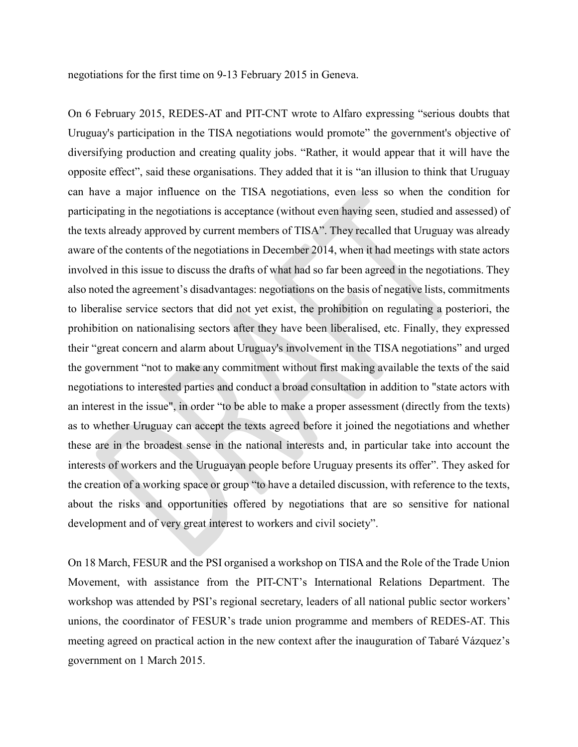negotiations for the first time on 9-13 February 2015 in Geneva.

On 6 February 2015, REDES-AT and PIT-CNT wrote to Alfaro expressing "serious doubts that Uruguay's participation in the TISA negotiations would promote" the government's objective of diversifying production and creating quality jobs. "Rather, it would appear that it will have the opposite effect", said these organisations. They added that it is "an illusion to think that Uruguay can have a major influence on the TISA negotiations, even less so when the condition for participating in the negotiations is acceptance (without even having seen, studied and assessed) of the texts already approved by current members of TISA". They recalled that Uruguay was already aware of the contents of the negotiations in December 2014, when it had meetings with state actors involved in this issue to discuss the drafts of what had so far been agreed in the negotiations. They also noted the agreement's disadvantages: negotiations on the basis of negative lists, commitments to liberalise service sectors that did not yet exist, the prohibition on regulating a posteriori, the prohibition on nationalising sectors after they have been liberalised, etc. Finally, they expressed their "great concern and alarm about Uruguay's involvement in the TISA negotiations" and urged the government "not to make any commitment without first making available the texts of the said negotiations to interested parties and conduct a broad consultation in addition to "state actors with an interest in the issue", in order "to be able to make a proper assessment (directly from the texts) as to whether Uruguay can accept the texts agreed before it joined the negotiations and whether these are in the broadest sense in the national interests and, in particular take into account the interests of workers and the Uruguayan people before Uruguay presents its offer". They asked for the creation of a working space or group "to have a detailed discussion, with reference to the texts, about the risks and opportunities offered by negotiations that are so sensitive for national development and of very great interest to workers and civil society".

On 18 March, FESUR and the PSI organised a workshop on TISA and the Role of the Trade Union Movement, with assistance from the PIT-CNT's International Relations Department. The workshop was attended by PSI's regional secretary, leaders of all national public sector workers' unions, the coordinator of FESUR's trade union programme and members of REDES-AT. This meeting agreed on practical action in the new context after the inauguration of Tabaré Vázquez's government on 1 March 2015.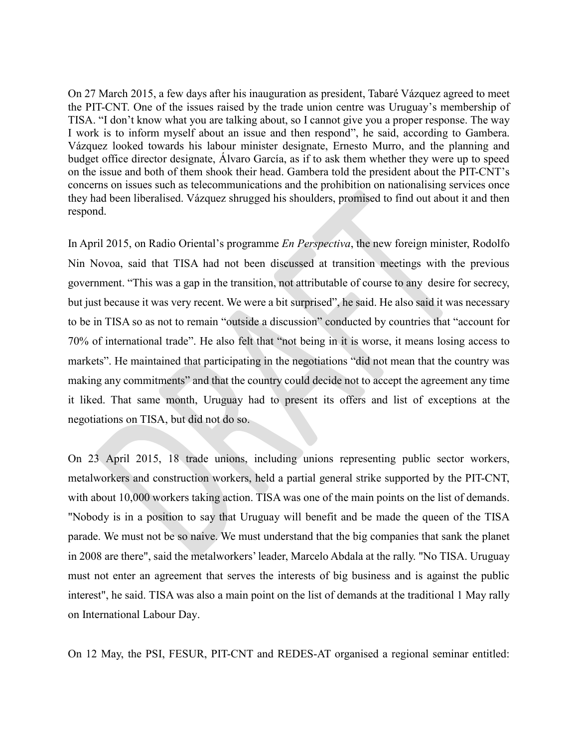On 27 March 2015, a few days after his inauguration as president, Tabaré Vázquez agreed to meet the PIT-CNT. One of the issues raised by the trade union centre was Uruguay's membership of TISA. "I don't know what you are talking about, so I cannot give you a proper response. The way I work is to inform myself about an issue and then respond", he said, according to Gambera. Vázquez looked towards his labour minister designate, Ernesto Murro, and the planning and budget office director designate, Álvaro García, as if to ask them whether they were up to speed on the issue and both of them shook their head. Gambera told the president about the PIT-CNT's concerns on issues such as telecommunications and the prohibition on nationalising services once they had been liberalised. Vázquez shrugged his shoulders, promised to find out about it and then respond.

In April 2015, on Radio Oriental's programme *En Perspectiva*, the new foreign minister, Rodolfo Nin Novoa, said that TISA had not been discussed at transition meetings with the previous government. "This was a gap in the transition, not attributable of course to any desire for secrecy, but just because it was very recent. We were a bit surprised", he said. He also said it was necessary to be in TISA so as not to remain "outside a discussion" conducted by countries that "account for 70% of international trade". He also felt that "not being in it is worse, it means losing access to markets". He maintained that participating in the negotiations "did not mean that the country was making any commitments" and that the country could decide not to accept the agreement any time it liked. That same month, Uruguay had to present its offers and list of exceptions at the negotiations on TISA, but did not do so.

On 23 April 2015, 18 trade unions, including unions representing public sector workers, metalworkers and construction workers, held a partial general strike supported by the PIT-CNT, with about 10,000 workers taking action. TISA was one of the main points on the list of demands. "Nobody is in a position to say that Uruguay will benefit and be made the queen of the TISA parade. We must not be so naive. We must understand that the big companies that sank the planet in 2008 are there", said the metalworkers' leader, Marcelo Abdala at the rally. "No TISA. Uruguay must not enter an agreement that serves the interests of big business and is against the public interest", he said. TISA was also a main point on the list of demands at the traditional 1 May rally on International Labour Day.

On 12 May, the PSI, FESUR, PIT-CNT and REDES-AT organised a regional seminar entitled: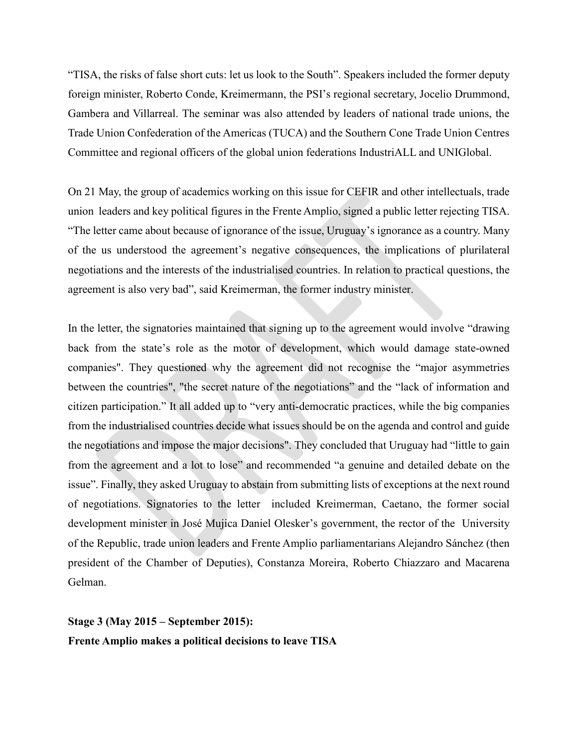"TISA, the risks of false short cuts: let us look to the South". Speakers included the former deputy foreign minister, Roberto Conde, Kreimermann, the PSI's regional secretary, Jocelio Drummond, Gambera and Villarreal. The seminar was also attended by leaders of national trade unions, the Trade Union Confederation of the Americas (TUCA) and the Southern Cone Trade Union Centres Committee and regional officers of the global union federations IndustriALL and UNIGlobal.

On 21 May, the group of academics working on this issue for CEFIR and other intellectuals, trade union leaders and key political figures in the Frente Amplio, signed a public letter rejecting TISA. "The letter came about because of ignorance of the issue, Uruguay's ignorance as a country. Many of the us understood the agreement's negative consequences, the implications of plurilateral negotiations and the interests of the industrialised countries. In relation to practical questions, the agreement is also very bad", said Kreimerman, the former industry minister.

In the letter, the signatories maintained that signing up to the agreement would involve "drawing back from the state's role as the motor of development, which would damage state-owned companies". They questioned why the agreement did not recognise the "major asymmetries between the countries", "the secret nature of the negotiations" and the "lack of information and citizen participation." It all added up to "very anti-democratic practices, while the big companies from the industrialised countries decide what issues should be on the agenda and control and guide the negotiations and impose the major decisions". They concluded that Uruguay had "little to gain from the agreement and a lot to lose" and recommended "a genuine and detailed debate on the issue". Finally, they asked Uruguay to abstain from submitting lists of exceptions at the next round of negotiations. Signatories to the letter included Kreimerman, Caetano, the former social development minister in José Mujica Daniel Olesker's government, the rector of the University of the Republic, trade union leaders and Frente Amplio parliamentarians Alejandro Sánchez (then president of the Chamber of Deputies), Constanza Moreira, Roberto Chiazzaro and Macarena Gelman.

**Stage 3 (May 2015 – September 2015): Frente Amplio makes a political decisions to leave TISA**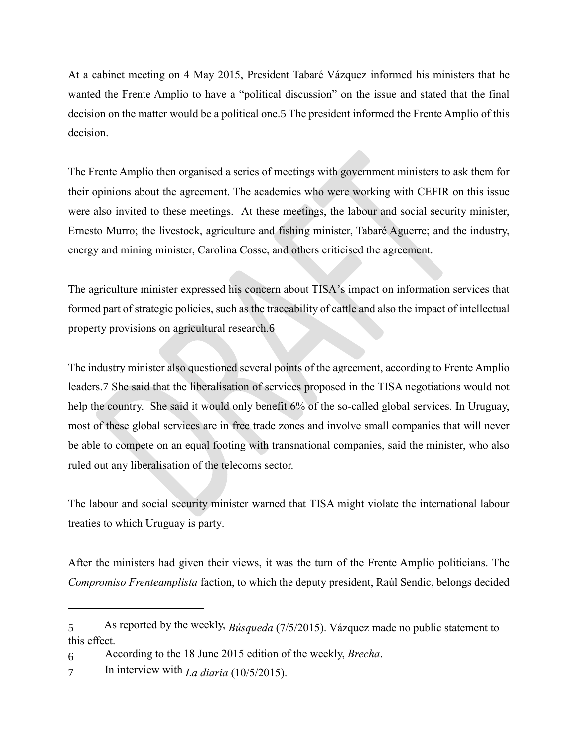At a cabinet meeting on 4 May 2015, President Tabaré Vázquez informed his ministers that he wanted the Frente Amplio to have a "political discussion" on the issue and stated that the final decision on the matter would be a political one.5 The president informed the Frente Amplio of this decision.

The Frente Amplio then organised a series of meetings with government ministers to ask them for their opinions about the agreement. The academics who were working with CEFIR on this issue were also invited to these meetings. At these meetings, the labour and social security minister, Ernesto Murro; the livestock, agriculture and fishing minister, Tabaré Aguerre; and the industry, energy and mining minister, Carolina Cosse, and others criticised the agreement.

The agriculture minister expressed his concern about TISA's impact on information services that formed part of strategic policies, such as the traceability of cattle and also the impact of intellectual property provisions on agricultural research.6

The industry minister also questioned several points of the agreement, according to Frente Amplio leaders.7 She said that the liberalisation of services proposed in the TISA negotiations would not help the country. She said it would only benefit 6% of the so-called global services. In Uruguay, most of these global services are in free trade zones and involve small companies that will never be able to compete on an equal footing with transnational companies, said the minister, who also ruled out any liberalisation of the telecoms sector.

The labour and social security minister warned that TISA might violate the international labour treaties to which Uruguay is party.

After the ministers had given their views, it was the turn of the Frente Amplio politicians. The *Compromiso Frenteamplista* faction, to which the deputy president, Raúl Sendic, belongs decided

<sup>5</sup> As reported by the weekly, *Búsqueda* (7/5/2015). Vázquez made no public statement to this effect.

<sup>6</sup> According to the 18 June 2015 edition of the weekly, *Brecha*.

<sup>7</sup> In interview with *La diaria* (10/5/2015).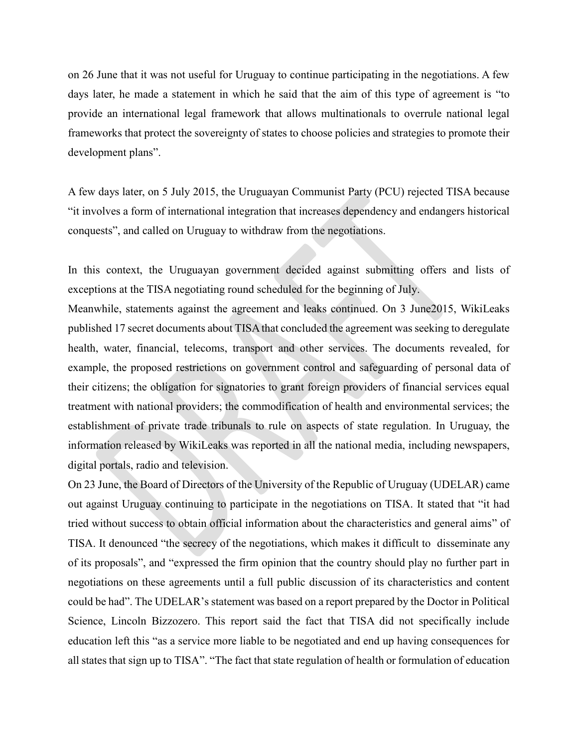on 26 June that it was not useful for Uruguay to continue participating in the negotiations. A few days later, he made a statement in which he said that the aim of this type of agreement is "to provide an international legal framework that allows multinationals to overrule national legal frameworks that protect the sovereignty of states to choose policies and strategies to promote their development plans".

A few days later, on 5 July 2015, the Uruguayan Communist Party (PCU) rejected TISA because "it involves a form of international integration that increases dependency and endangers historical conquests", and called on Uruguay to withdraw from the negotiations.

In this context, the Uruguayan government decided against submitting offers and lists of exceptions at the TISA negotiating round scheduled for the beginning of July.

Meanwhile, statements against the agreement and leaks continued. On 3 June2015, WikiLeaks published 17 secret documents about TISA that concluded the agreement was seeking to deregulate health, water, financial, telecoms, transport and other services. The documents revealed, for example, the proposed restrictions on government control and safeguarding of personal data of their citizens; the obligation for signatories to grant foreign providers of financial services equal treatment with national providers; the commodification of health and environmental services; the establishment of private trade tribunals to rule on aspects of state regulation. In Uruguay, the information released by WikiLeaks was reported in all the national media, including newspapers, digital portals, radio and television.

On 23 June, the Board of Directors of the University of the Republic of Uruguay (UDELAR) came out against Uruguay continuing to participate in the negotiations on TISA. It stated that "it had tried without success to obtain official information about the characteristics and general aims" of TISA. It denounced "the secrecy of the negotiations, which makes it difficult to disseminate any of its proposals", and "expressed the firm opinion that the country should play no further part in negotiations on these agreements until a full public discussion of its characteristics and content could be had". The UDELAR's statement was based on a report prepared by the Doctor in Political Science, Lincoln Bizzozero. This report said the fact that TISA did not specifically include education left this "as a service more liable to be negotiated and end up having consequences for all states that sign up to TISA". "The fact that state regulation of health or formulation of education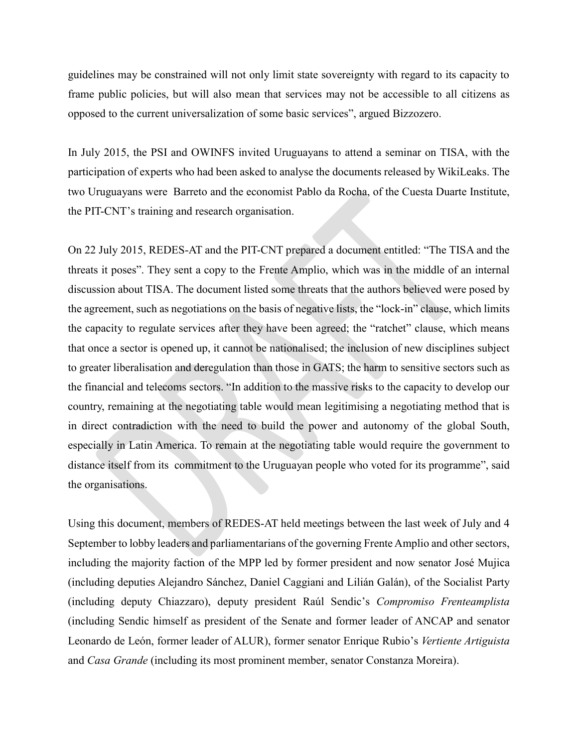guidelines may be constrained will not only limit state sovereignty with regard to its capacity to frame public policies, but will also mean that services may not be accessible to all citizens as opposed to the current universalization of some basic services", argued Bizzozero.

In July 2015, the PSI and OWINFS invited Uruguayans to attend a seminar on TISA, with the participation of experts who had been asked to analyse the documents released by WikiLeaks. The two Uruguayans were Barreto and the economist Pablo da Rocha, of the Cuesta Duarte Institute, the PIT-CNT's training and research organisation.

On 22 July 2015, REDES-AT and the PIT-CNT prepared a document entitled: "The TISA and the threats it poses". They sent a copy to the Frente Amplio, which was in the middle of an internal discussion about TISA. The document listed some threats that the authors believed were posed by the agreement, such as negotiations on the basis of negative lists, the "lock-in" clause, which limits the capacity to regulate services after they have been agreed; the "ratchet" clause, which means that once a sector is opened up, it cannot be nationalised; the inclusion of new disciplines subject to greater liberalisation and deregulation than those in GATS; the harm to sensitive sectors such as the financial and telecoms sectors. "In addition to the massive risks to the capacity to develop our country, remaining at the negotiating table would mean legitimising a negotiating method that is in direct contradiction with the need to build the power and autonomy of the global South, especially in Latin America. To remain at the negotiating table would require the government to distance itself from its commitment to the Uruguayan people who voted for its programme", said the organisations.

Using this document, members of REDES-AT held meetings between the last week of July and 4 September to lobby leaders and parliamentarians of the governing Frente Amplio and other sectors, including the majority faction of the MPP led by former president and now senator José Mujica (including deputies Alejandro Sánchez, Daniel Caggiani and Lilián Galán), of the Socialist Party (including deputy Chiazzaro), deputy president Raúl Sendic's *Compromiso Frenteamplista* (including Sendic himself as president of the Senate and former leader of ANCAP and senator Leonardo de León, former leader of ALUR), former senator Enrique Rubio's *Vertiente Artiguista* and *Casa Grande* (including its most prominent member, senator Constanza Moreira).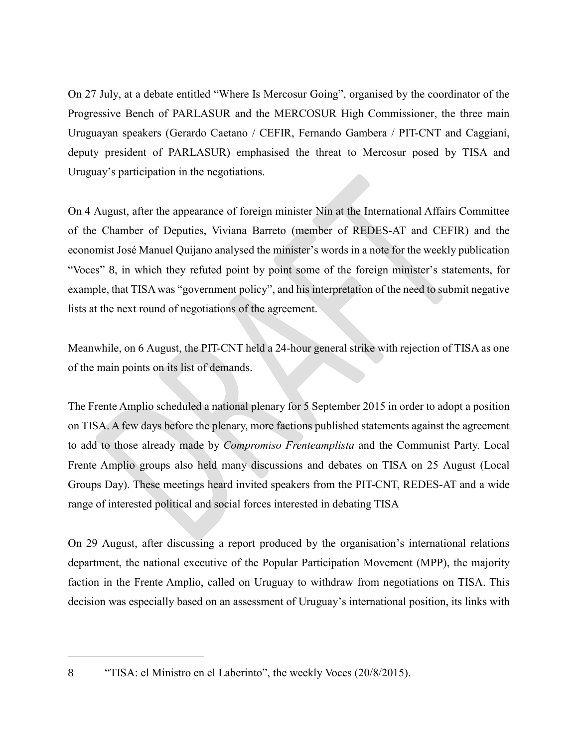On 27 July, at a debate entitled "Where Is Mercosur Going", organised by the coordinator of the Progressive Bench of PARLASUR and the MERCOSUR High Commissioner, the three main Uruguayan speakers (Gerardo Caetano / CEFIR, Fernando Gambera / PIT-CNT and Caggiani, deputy president of PARLASUR) emphasised the threat to Mercosur posed by TISA and Uruguay's participation in the negotiations.

On 4 August, after the appearance of foreign minister Nin at the International Affairs Committee of the Chamber of Deputies, Viviana Barreto (member of REDES-AT and CEFIR) and the economist José Manuel Quijano analysed the minister's words in a note for the weekly publication "Voces" 8, in which they refuted point by point some of the foreign minister's statements, for example, that TISA was "government policy", and his interpretation of the need to submit negative lists at the next round of negotiations of the agreement.

Meanwhile, on 6 August, the PIT-CNT held a 24-hour general strike with rejection of TISA as one of the main points on its list of demands.

The Frente Amplio scheduled a national plenary for 5 September 2015 in order to adopt a position on TISA. A few days before the plenary, more factions published statements against the agreement to add to those already made by *Compromiso Frenteamplista* and the Communist Party. Local Frente Amplio groups also held many discussions and debates on TISA on 25 August (Local Groups Day). These meetings heard invited speakers from the PIT-CNT, REDES-AT and a wide range of interested political and social forces interested in debating TISA

On 29 August, after discussing a report produced by the organisation's international relations department, the national executive of the Popular Participation Movement (MPP), the majority faction in the Frente Amplio, called on Uruguay to withdraw from negotiations on TISA. This decision was especially based on an assessment of Uruguay's international position, its links with

<sup>8</sup> "TISA: el Ministro en el Laberinto", the weekly Voces (20/8/2015).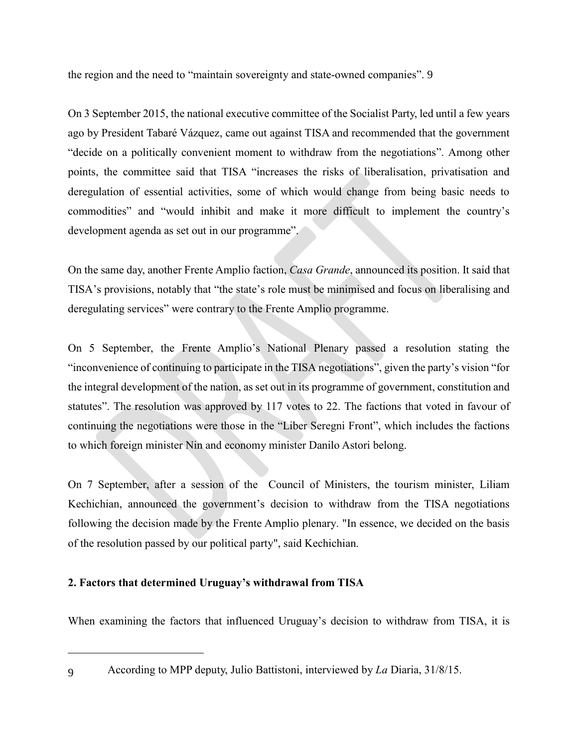the region and the need to "maintain sovereignty and state-owned companies". 9

On 3 September 2015, the national executive committee of the Socialist Party, led until a few years ago by President Tabaré Vázquez, came out against TISA and recommended that the government "decide on a politically convenient moment to withdraw from the negotiations". Among other points, the committee said that TISA "increases the risks of liberalisation, privatisation and deregulation of essential activities, some of which would change from being basic needs to commodities" and "would inhibit and make it more difficult to implement the country's development agenda as set out in our programme".

On the same day, another Frente Amplio faction, *Casa Grande*, announced its position. It said that TISA's provisions, notably that "the state's role must be minimised and focus on liberalising and deregulating services" were contrary to the Frente Amplio programme.

On 5 September, the Frente Amplio's National Plenary passed a resolution stating the "inconvenience of continuing to participate in the TISA negotiations", given the party's vision "for the integral development of the nation, as set out in its programme of government, constitution and statutes". The resolution was approved by 117 votes to 22. The factions that voted in favour of continuing the negotiations were those in the "Liber Seregni Front", which includes the factions to which foreign minister Nin and economy minister Danilo Astori belong.

On 7 September, after a session of the Council of Ministers, the tourism minister, Liliam Kechichian, announced the government's decision to withdraw from the TISA negotiations following the decision made by the Frente Amplio plenary. "In essence, we decided on the basis of the resolution passed by our political party", said Kechichian.

# **2. Factors that determined Uruguay's withdrawal from TISA**

When examining the factors that influenced Uruguay's decision to withdraw from TISA, it is

<sup>9</sup> According to MPP deputy, Julio Battistoni, interviewed by *La* Diaria, 31/8/15.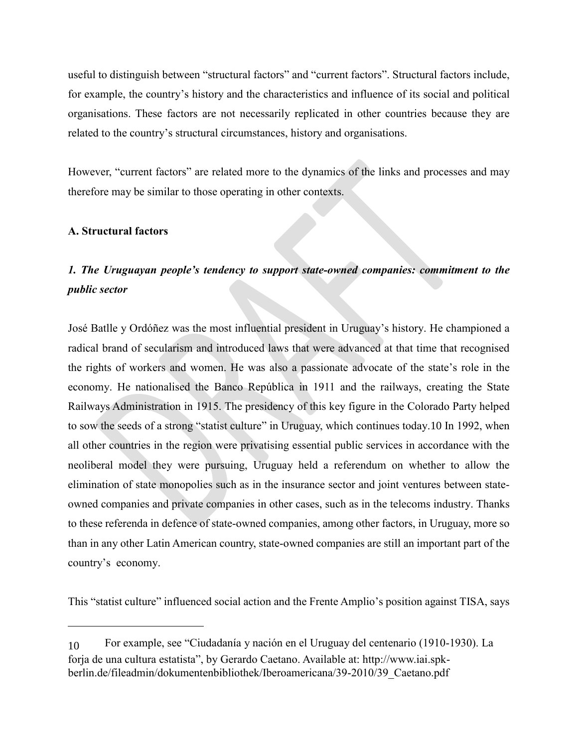useful to distinguish between "structural factors" and "current factors". Structural factors include, for example, the country's history and the characteristics and influence of its social and political organisations. These factors are not necessarily replicated in other countries because they are related to the country's structural circumstances, history and organisations.

However, "current factors" are related more to the dynamics of the links and processes and may therefore may be similar to those operating in other contexts.

# **A. Structural factors**

# *1. The Uruguayan people's tendency to support state-owned companies: commitment to the public sector*

José Batlle y Ordóñez was the most influential president in Uruguay's history. He championed a radical brand of secularism and introduced laws that were advanced at that time that recognised the rights of workers and women. He was also a passionate advocate of the state's role in the economy. He nationalised the Banco República in 1911 and the railways, creating the State Railways Administration in 1915. The presidency of this key figure in the Colorado Party helped to sow the seeds of a strong "statist culture" in Uruguay, which continues today.10 In 1992, when all other countries in the region were privatising essential public services in accordance with the neoliberal model they were pursuing, Uruguay held a referendum on whether to allow the elimination of state monopolies such as in the insurance sector and joint ventures between stateowned companies and private companies in other cases, such as in the telecoms industry. Thanks to these referenda in defence of state-owned companies, among other factors, in Uruguay, more so than in any other Latin American country, state-owned companies are still an important part of the country's economy.

This "statist culture" influenced social action and the Frente Amplio's position against TISA, says

<sup>10</sup> For example, see "Ciudadanía y nación en el Uruguay del centenario (1910-1930). La forja de una cultura estatista", by Gerardo Caetano. Available at: http://www.iai.spkberlin.de/fileadmin/dokumentenbibliothek/Iberoamericana/39-2010/39\_Caetano.pdf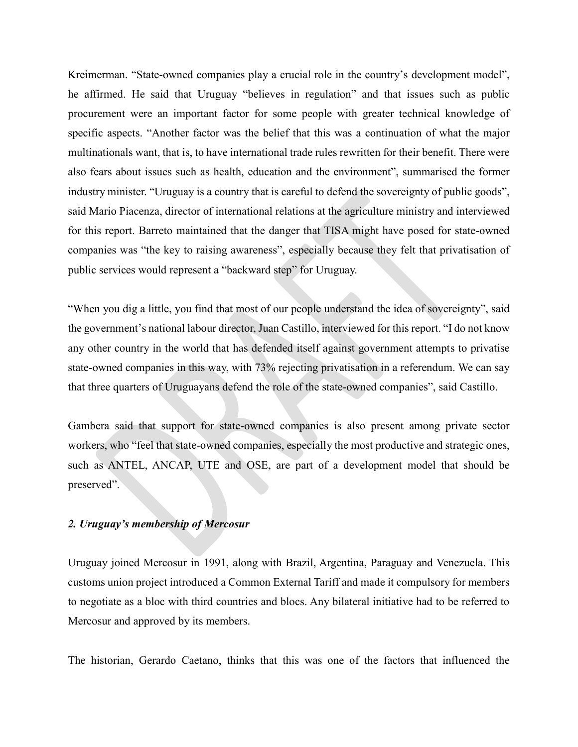Kreimerman. "State-owned companies play a crucial role in the country's development model", he affirmed. He said that Uruguay "believes in regulation" and that issues such as public procurement were an important factor for some people with greater technical knowledge of specific aspects. "Another factor was the belief that this was a continuation of what the major multinationals want, that is, to have international trade rules rewritten for their benefit. There were also fears about issues such as health, education and the environment", summarised the former industry minister. "Uruguay is a country that is careful to defend the sovereignty of public goods", said Mario Piacenza, director of international relations at the agriculture ministry and interviewed for this report. Barreto maintained that the danger that TISA might have posed for state-owned companies was "the key to raising awareness", especially because they felt that privatisation of public services would represent a "backward step" for Uruguay.

"When you dig a little, you find that most of our people understand the idea of sovereignty", said the government's national labour director, Juan Castillo, interviewed for this report. "I do not know any other country in the world that has defended itself against government attempts to privatise state-owned companies in this way, with 73% rejecting privatisation in a referendum. We can say that three quarters of Uruguayans defend the role of the state-owned companies", said Castillo.

Gambera said that support for state-owned companies is also present among private sector workers, who "feel that state-owned companies, especially the most productive and strategic ones, such as ANTEL, ANCAP, UTE and OSE, are part of a development model that should be preserved".

## *2. Uruguay's membership of Mercosur*

Uruguay joined Mercosur in 1991, along with Brazil, Argentina, Paraguay and Venezuela. This customs union project introduced a Common External Tariff and made it compulsory for members to negotiate as a bloc with third countries and blocs. Any bilateral initiative had to be referred to Mercosur and approved by its members.

The historian, Gerardo Caetano, thinks that this was one of the factors that influenced the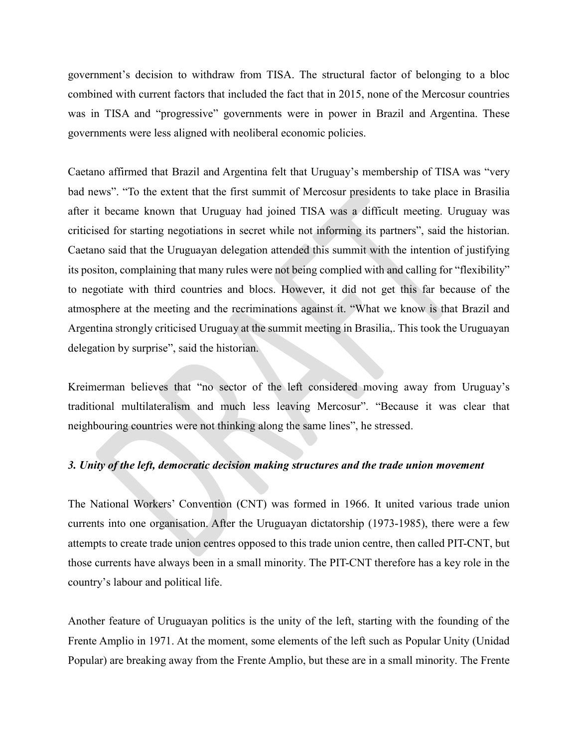government's decision to withdraw from TISA. The structural factor of belonging to a bloc combined with current factors that included the fact that in 2015, none of the Mercosur countries was in TISA and "progressive" governments were in power in Brazil and Argentina. These governments were less aligned with neoliberal economic policies.

Caetano affirmed that Brazil and Argentina felt that Uruguay's membership of TISA was "very bad news". "To the extent that the first summit of Mercosur presidents to take place in Brasilia after it became known that Uruguay had joined TISA was a difficult meeting. Uruguay was criticised for starting negotiations in secret while not informing its partners", said the historian. Caetano said that the Uruguayan delegation attended this summit with the intention of justifying its positon, complaining that many rules were not being complied with and calling for "flexibility" to negotiate with third countries and blocs. However, it did not get this far because of the atmosphere at the meeting and the recriminations against it. "What we know is that Brazil and Argentina strongly criticised Uruguay at the summit meeting in Brasilia,. This took the Uruguayan delegation by surprise", said the historian.

Kreimerman believes that "no sector of the left considered moving away from Uruguay's traditional multilateralism and much less leaving Mercosur". "Because it was clear that neighbouring countries were not thinking along the same lines", he stressed.

#### *3. Unity of the left, democratic decision making structures and the trade union movement*

The National Workers' Convention (CNT) was formed in 1966. It united various trade union currents into one organisation. After the Uruguayan dictatorship (1973-1985), there were a few attempts to create trade union centres opposed to this trade union centre, then called PIT-CNT, but those currents have always been in a small minority. The PIT-CNT therefore has a key role in the country's labour and political life.

Another feature of Uruguayan politics is the unity of the left, starting with the founding of the Frente Amplio in 1971. At the moment, some elements of the left such as Popular Unity (Unidad Popular) are breaking away from the Frente Amplio, but these are in a small minority. The Frente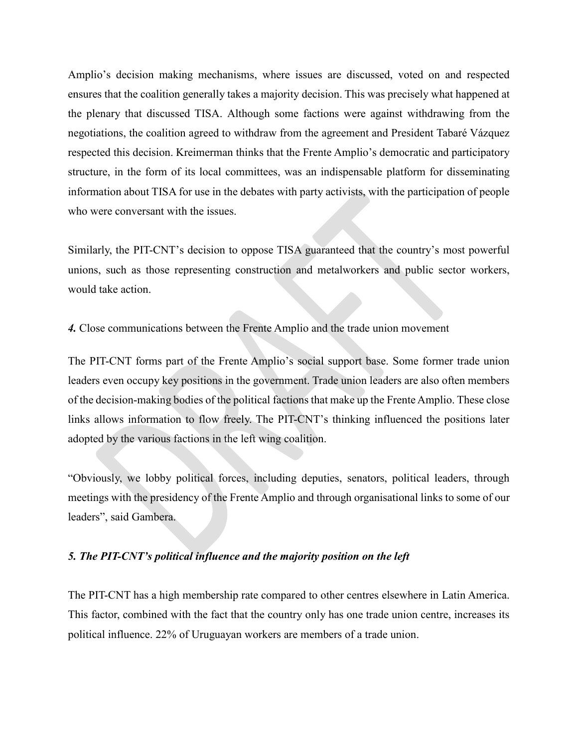Amplio's decision making mechanisms, where issues are discussed, voted on and respected ensures that the coalition generally takes a majority decision. This was precisely what happened at the plenary that discussed TISA. Although some factions were against withdrawing from the negotiations, the coalition agreed to withdraw from the agreement and President Tabaré Vázquez respected this decision. Kreimerman thinks that the Frente Amplio's democratic and participatory structure, in the form of its local committees, was an indispensable platform for disseminating information about TISA for use in the debates with party activists, with the participation of people who were conversant with the issues.

Similarly, the PIT-CNT's decision to oppose TISA guaranteed that the country's most powerful unions, such as those representing construction and metalworkers and public sector workers, would take action.

*4.* Close communications between the Frente Amplio and the trade union movement

The PIT-CNT forms part of the Frente Amplio's social support base. Some former trade union leaders even occupy key positions in the government. Trade union leaders are also often members of the decision-making bodies of the political factions that make up the Frente Amplio. These close links allows information to flow freely. The PIT-CNT's thinking influenced the positions later adopted by the various factions in the left wing coalition.

"Obviously, we lobby political forces, including deputies, senators, political leaders, through meetings with the presidency of the Frente Amplio and through organisational links to some of our leaders", said Gambera.

### *5. The PIT-CNT's political influence and the majority position on the left*

The PIT-CNT has a high membership rate compared to other centres elsewhere in Latin America. This factor, combined with the fact that the country only has one trade union centre, increases its political influence. 22% of Uruguayan workers are members of a trade union.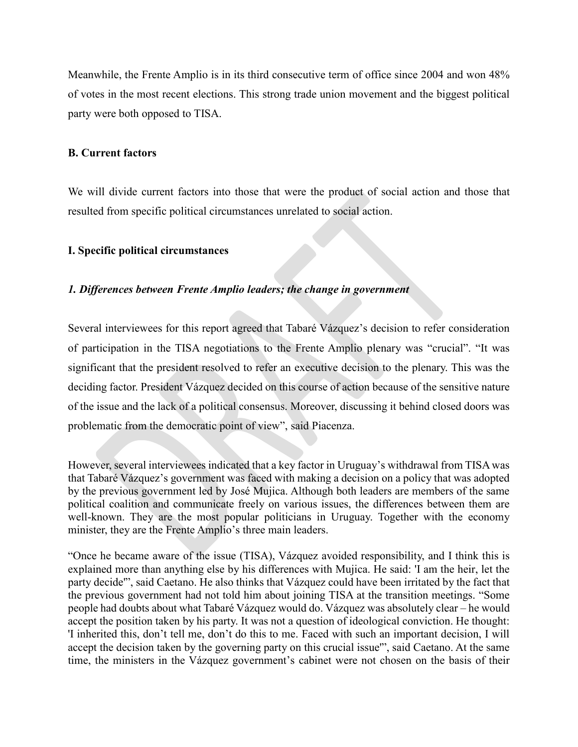Meanwhile, the Frente Amplio is in its third consecutive term of office since 2004 and won 48% of votes in the most recent elections. This strong trade union movement and the biggest political party were both opposed to TISA.

#### **B. Current factors**

We will divide current factors into those that were the product of social action and those that resulted from specific political circumstances unrelated to social action.

#### **I. Specific political circumstances**

#### *1. Differences between Frente Amplio leaders; the change in government*

Several interviewees for this report agreed that Tabaré Vázquez's decision to refer consideration of participation in the TISA negotiations to the Frente Amplio plenary was "crucial". "It was significant that the president resolved to refer an executive decision to the plenary. This was the deciding factor. President Vázquez decided on this course of action because of the sensitive nature of the issue and the lack of a political consensus. Moreover, discussing it behind closed doors was problematic from the democratic point of view", said Piacenza.

However, several interviewees indicated that a key factor in Uruguay's withdrawal from TISA was that Tabaré Vázquez's government was faced with making a decision on a policy that was adopted by the previous government led by José Mujica. Although both leaders are members of the same political coalition and communicate freely on various issues, the differences between them are well-known. They are the most popular politicians in Uruguay. Together with the economy minister, they are the Frente Amplio's three main leaders.

"Once he became aware of the issue (TISA), Vázquez avoided responsibility, and I think this is explained more than anything else by his differences with Mujica. He said: 'I am the heir, let the party decide'", said Caetano. He also thinks that Vázquez could have been irritated by the fact that the previous government had not told him about joining TISA at the transition meetings. "Some people had doubts about what Tabaré Vázquez would do. Vázquez was absolutely clear – he would accept the position taken by his party. It was not a question of ideological conviction. He thought: 'I inherited this, don't tell me, don't do this to me. Faced with such an important decision, I will accept the decision taken by the governing party on this crucial issue'", said Caetano. At the same time, the ministers in the Vázquez government's cabinet were not chosen on the basis of their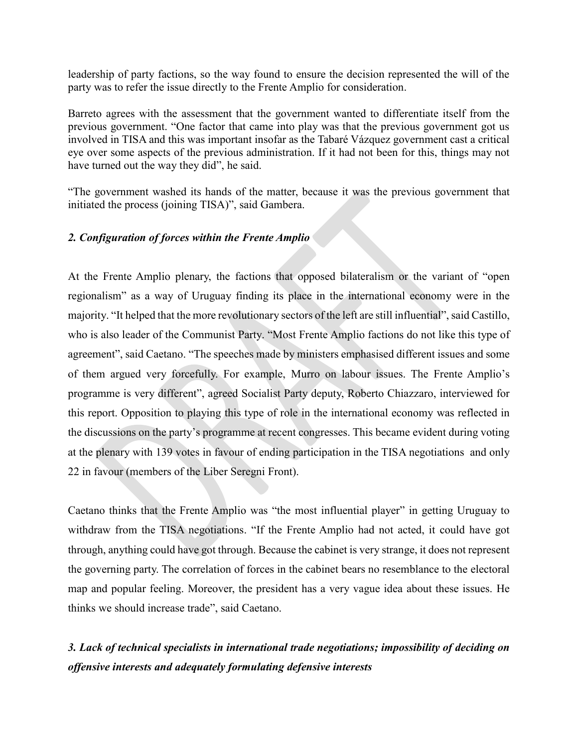leadership of party factions, so the way found to ensure the decision represented the will of the party was to refer the issue directly to the Frente Amplio for consideration.

Barreto agrees with the assessment that the government wanted to differentiate itself from the previous government. "One factor that came into play was that the previous government got us involved in TISA and this was important insofar as the Tabaré Vázquez government cast a critical eye over some aspects of the previous administration. If it had not been for this, things may not have turned out the way they did", he said.

"The government washed its hands of the matter, because it was the previous government that initiated the process (joining TISA)", said Gambera.

## *2. Configuration of forces within the Frente Amplio*

At the Frente Amplio plenary, the factions that opposed bilateralism or the variant of "open regionalism" as a way of Uruguay finding its place in the international economy were in the majority. "It helped that the more revolutionary sectors of the left are still influential", said Castillo, who is also leader of the Communist Party. "Most Frente Amplio factions do not like this type of agreement", said Caetano. "The speeches made by ministers emphasised different issues and some of them argued very forcefully. For example, Murro on labour issues. The Frente Amplio's programme is very different", agreed Socialist Party deputy, Roberto Chiazzaro, interviewed for this report. Opposition to playing this type of role in the international economy was reflected in the discussions on the party's programme at recent congresses. This became evident during voting at the plenary with 139 votes in favour of ending participation in the TISA negotiations and only 22 in favour (members of the Liber Seregni Front).

Caetano thinks that the Frente Amplio was "the most influential player" in getting Uruguay to withdraw from the TISA negotiations. "If the Frente Amplio had not acted, it could have got through, anything could have got through. Because the cabinet is very strange, it does not represent the governing party. The correlation of forces in the cabinet bears no resemblance to the electoral map and popular feeling. Moreover, the president has a very vague idea about these issues. He thinks we should increase trade", said Caetano.

*3. Lack of technical specialists in international trade negotiations; impossibility of deciding on offensive interests and adequately formulating defensive interests*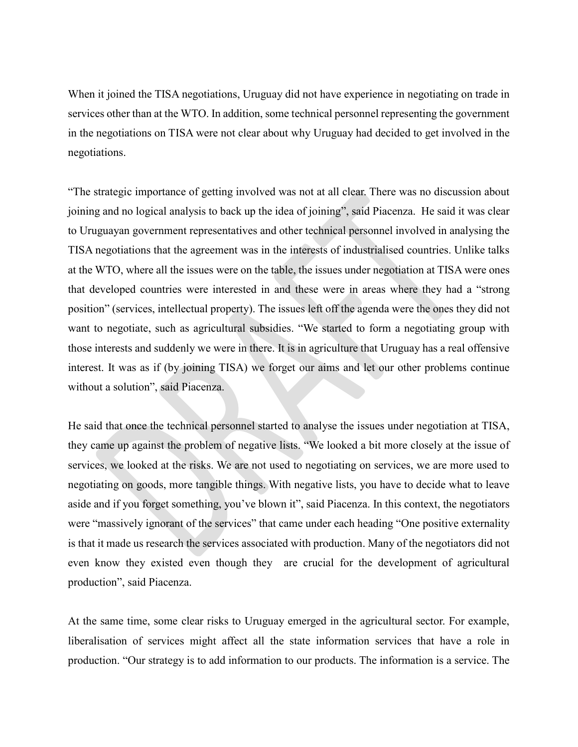When it joined the TISA negotiations, Uruguay did not have experience in negotiating on trade in services other than at the WTO. In addition, some technical personnel representing the government in the negotiations on TISA were not clear about why Uruguay had decided to get involved in the negotiations.

"The strategic importance of getting involved was not at all clear. There was no discussion about joining and no logical analysis to back up the idea of joining", said Piacenza. He said it was clear to Uruguayan government representatives and other technical personnel involved in analysing the TISA negotiations that the agreement was in the interests of industrialised countries. Unlike talks at the WTO, where all the issues were on the table, the issues under negotiation at TISA were ones that developed countries were interested in and these were in areas where they had a "strong position" (services, intellectual property). The issues left off the agenda were the ones they did not want to negotiate, such as agricultural subsidies. "We started to form a negotiating group with those interests and suddenly we were in there. It is in agriculture that Uruguay has a real offensive interest. It was as if (by joining TISA) we forget our aims and let our other problems continue without a solution", said Piacenza.

He said that once the technical personnel started to analyse the issues under negotiation at TISA, they came up against the problem of negative lists. "We looked a bit more closely at the issue of services, we looked at the risks. We are not used to negotiating on services, we are more used to negotiating on goods, more tangible things. With negative lists, you have to decide what to leave aside and if you forget something, you've blown it", said Piacenza. In this context, the negotiators were "massively ignorant of the services" that came under each heading "One positive externality is that it made us research the services associated with production. Many of the negotiators did not even know they existed even though they are crucial for the development of agricultural production", said Piacenza.

At the same time, some clear risks to Uruguay emerged in the agricultural sector. For example, liberalisation of services might affect all the state information services that have a role in production. "Our strategy is to add information to our products. The information is a service. The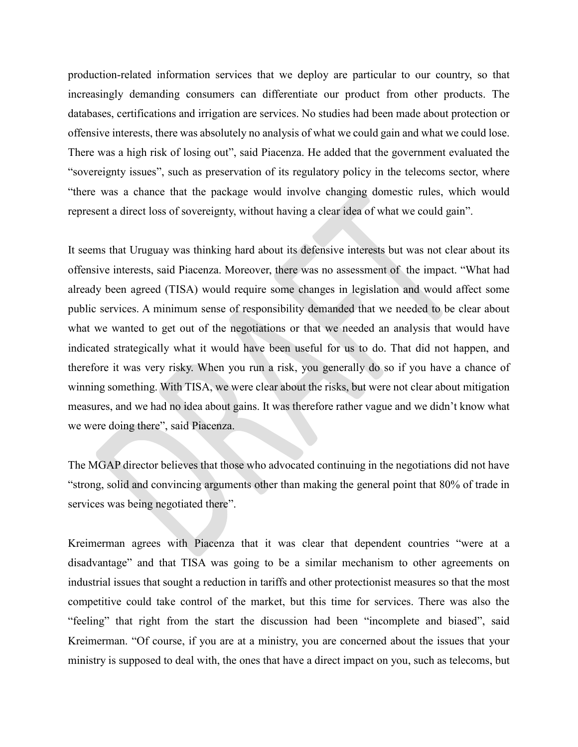production-related information services that we deploy are particular to our country, so that increasingly demanding consumers can differentiate our product from other products. The databases, certifications and irrigation are services. No studies had been made about protection or offensive interests, there was absolutely no analysis of what we could gain and what we could lose. There was a high risk of losing out", said Piacenza. He added that the government evaluated the "sovereignty issues", such as preservation of its regulatory policy in the telecoms sector, where "there was a chance that the package would involve changing domestic rules, which would represent a direct loss of sovereignty, without having a clear idea of what we could gain".

It seems that Uruguay was thinking hard about its defensive interests but was not clear about its offensive interests, said Piacenza. Moreover, there was no assessment of the impact. "What had already been agreed (TISA) would require some changes in legislation and would affect some public services. A minimum sense of responsibility demanded that we needed to be clear about what we wanted to get out of the negotiations or that we needed an analysis that would have indicated strategically what it would have been useful for us to do. That did not happen, and therefore it was very risky. When you run a risk, you generally do so if you have a chance of winning something. With TISA, we were clear about the risks, but were not clear about mitigation measures, and we had no idea about gains. It was therefore rather vague and we didn't know what we were doing there", said Piacenza.

The MGAP director believes that those who advocated continuing in the negotiations did not have "strong, solid and convincing arguments other than making the general point that 80% of trade in services was being negotiated there".

Kreimerman agrees with Piacenza that it was clear that dependent countries "were at a disadvantage" and that TISA was going to be a similar mechanism to other agreements on industrial issues that sought a reduction in tariffs and other protectionist measures so that the most competitive could take control of the market, but this time for services. There was also the "feeling" that right from the start the discussion had been "incomplete and biased", said Kreimerman. "Of course, if you are at a ministry, you are concerned about the issues that your ministry is supposed to deal with, the ones that have a direct impact on you, such as telecoms, but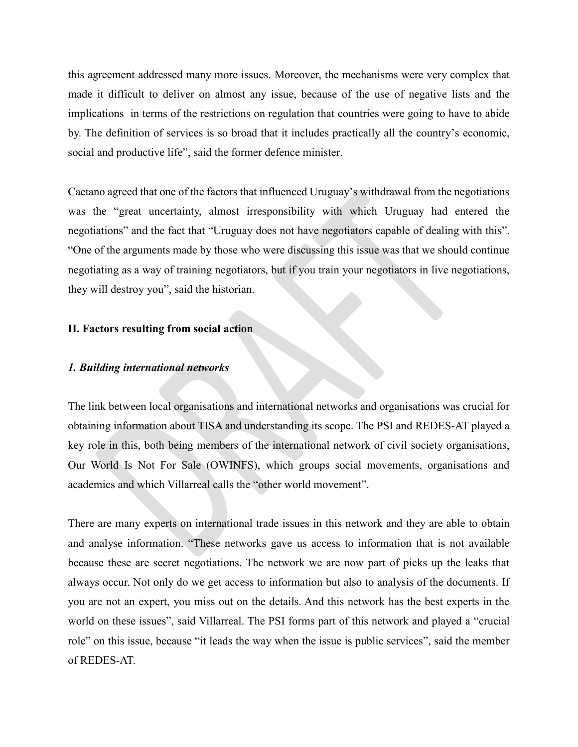this agreement addressed many more issues. Moreover, the mechanisms were very complex that made it difficult to deliver on almost any issue, because of the use of negative lists and the implications in terms of the restrictions on regulation that countries were going to have to abide by. The definition of services is so broad that it includes practically all the country's economic, social and productive life", said the former defence minister.

Caetano agreed that one of the factors that influenced Uruguay's withdrawal from the negotiations was the "great uncertainty, almost irresponsibility with which Uruguay had entered the negotiations" and the fact that "Uruguay does not have negotiators capable of dealing with this". "One of the arguments made by those who were discussing this issue was that we should continue negotiating as a way of training negotiators, but if you train your negotiators in live negotiations, they will destroy you", said the historian.

#### **II. Factors resulting from social action**

#### *1. Building international networks*

The link between local organisations and international networks and organisations was crucial for obtaining information about TISA and understanding its scope. The PSI and REDES-AT played a key role in this, both being members of the international network of civil society organisations, Our World Is Not For Sale (OWINFS), which groups social movements, organisations and academics and which Villarreal calls the "other world movement".

There are many experts on international trade issues in this network and they are able to obtain and analyse information. "These networks gave us access to information that is not available because these are secret negotiations. The network we are now part of picks up the leaks that always occur. Not only do we get access to information but also to analysis of the documents. If you are not an expert, you miss out on the details. And this network has the best experts in the world on these issues", said Villarreal. The PSI forms part of this network and played a "crucial role" on this issue, because "it leads the way when the issue is public services", said the member of REDES-AT.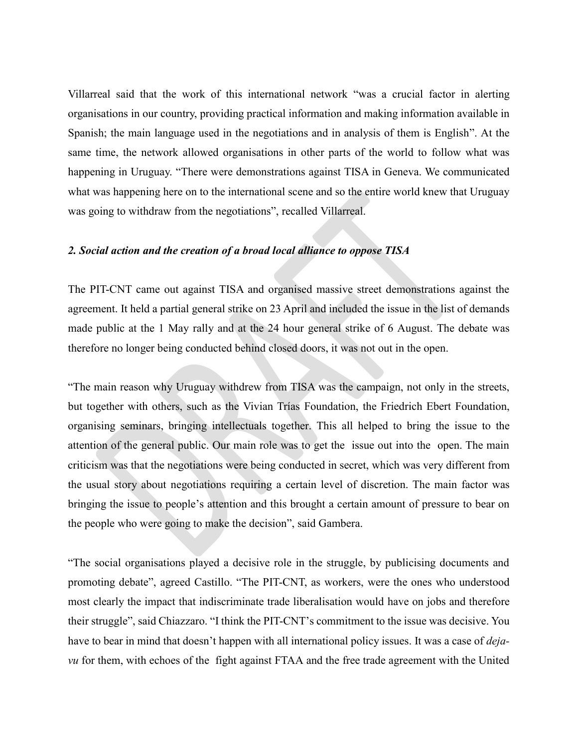Villarreal said that the work of this international network "was a crucial factor in alerting organisations in our country, providing practical information and making information available in Spanish; the main language used in the negotiations and in analysis of them is English". At the same time, the network allowed organisations in other parts of the world to follow what was happening in Uruguay. "There were demonstrations against TISA in Geneva. We communicated what was happening here on to the international scene and so the entire world knew that Uruguay was going to withdraw from the negotiations", recalled Villarreal.

#### *2. Social action and the creation of a broad local alliance to oppose TISA*

The PIT-CNT came out against TISA and organised massive street demonstrations against the agreement. It held a partial general strike on 23 April and included the issue in the list of demands made public at the 1 May rally and at the 24 hour general strike of 6 August. The debate was therefore no longer being conducted behind closed doors, it was not out in the open.

"The main reason why Uruguay withdrew from TISA was the campaign, not only in the streets, but together with others, such as the Vivian Trías Foundation, the Friedrich Ebert Foundation, organising seminars, bringing intellectuals together. This all helped to bring the issue to the attention of the general public. Our main role was to get the issue out into the open. The main criticism was that the negotiations were being conducted in secret, which was very different from the usual story about negotiations requiring a certain level of discretion. The main factor was bringing the issue to people's attention and this brought a certain amount of pressure to bear on the people who were going to make the decision", said Gambera.

"The social organisations played a decisive role in the struggle, by publicising documents and promoting debate", agreed Castillo. "The PIT-CNT, as workers, were the ones who understood most clearly the impact that indiscriminate trade liberalisation would have on jobs and therefore their struggle", said Chiazzaro. "I think the PIT-CNT's commitment to the issue was decisive. You have to bear in mind that doesn't happen with all international policy issues. It was a case of *dejavu* for them, with echoes of the fight against FTAA and the free trade agreement with the United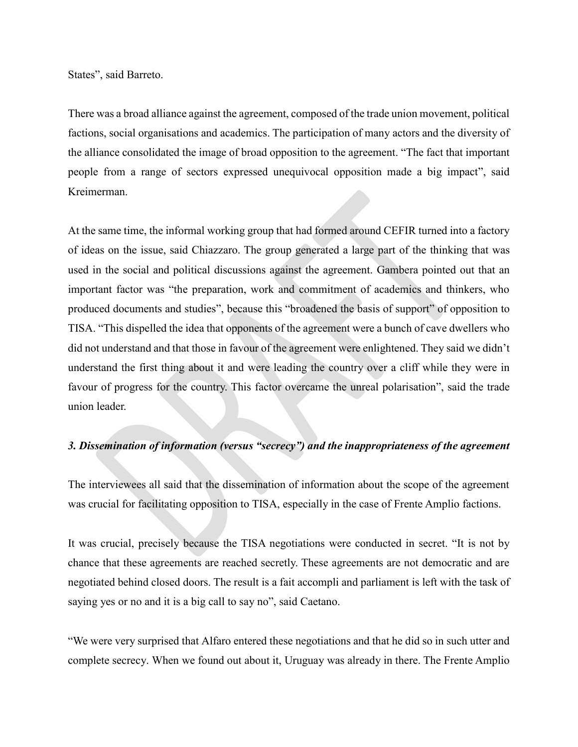States", said Barreto.

There was a broad alliance against the agreement, composed of the trade union movement, political factions, social organisations and academics. The participation of many actors and the diversity of the alliance consolidated the image of broad opposition to the agreement. "The fact that important people from a range of sectors expressed unequivocal opposition made a big impact", said Kreimerman.

At the same time, the informal working group that had formed around CEFIR turned into a factory of ideas on the issue, said Chiazzaro. The group generated a large part of the thinking that was used in the social and political discussions against the agreement. Gambera pointed out that an important factor was "the preparation, work and commitment of academics and thinkers, who produced documents and studies", because this "broadened the basis of support" of opposition to TISA. "This dispelled the idea that opponents of the agreement were a bunch of cave dwellers who did not understand and that those in favour of the agreement were enlightened. They said we didn't understand the first thing about it and were leading the country over a cliff while they were in favour of progress for the country. This factor overcame the unreal polarisation", said the trade union leader.

## *3. Dissemination of information (versus "secrecy") and the inappropriateness of the agreement*

The interviewees all said that the dissemination of information about the scope of the agreement was crucial for facilitating opposition to TISA, especially in the case of Frente Amplio factions.

It was crucial, precisely because the TISA negotiations were conducted in secret. "It is not by chance that these agreements are reached secretly. These agreements are not democratic and are negotiated behind closed doors. The result is a fait accompli and parliament is left with the task of saying yes or no and it is a big call to say no", said Caetano.

"We were very surprised that Alfaro entered these negotiations and that he did so in such utter and complete secrecy. When we found out about it, Uruguay was already in there. The Frente Amplio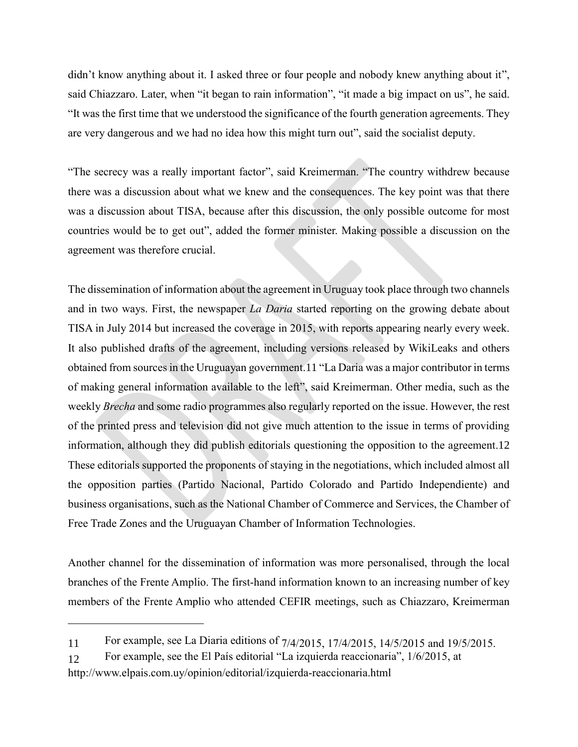didn't know anything about it. I asked three or four people and nobody knew anything about it", said Chiazzaro. Later, when "it began to rain information", "it made a big impact on us", he said. "It was the first time that we understood the significance of the fourth generation agreements. They are very dangerous and we had no idea how this might turn out", said the socialist deputy.

"The secrecy was a really important factor", said Kreimerman. "The country withdrew because there was a discussion about what we knew and the consequences. The key point was that there was a discussion about TISA, because after this discussion, the only possible outcome for most countries would be to get out", added the former minister. Making possible a discussion on the agreement was therefore crucial.

The dissemination of information about the agreement in Uruguay took place through two channels and in two ways. First, the newspaper *La Daria* started reporting on the growing debate about TISA in July 2014 but increased the coverage in 2015, with reports appearing nearly every week. It also published drafts of the agreement, including versions released by WikiLeaks and others obtained from sources in the Uruguayan government.11 "La Daria was a major contributor in terms of making general information available to the left", said Kreimerman. Other media, such as the weekly *Brecha* and some radio programmes also regularly reported on the issue. However, the rest of the printed press and television did not give much attention to the issue in terms of providing information, although they did publish editorials questioning the opposition to the agreement.12 These editorials supported the proponents of staying in the negotiations, which included almost all the opposition parties (Partido Nacional, Partido Colorado and Partido Independiente) and business organisations, such as the National Chamber of Commerce and Services, the Chamber of Free Trade Zones and the Uruguayan Chamber of Information Technologies.

Another channel for the dissemination of information was more personalised, through the local branches of the Frente Amplio. The first-hand information known to an increasing number of key members of the Frente Amplio who attended CEFIR meetings, such as Chiazzaro, Kreimerman

<sup>11</sup> For example, see La Diaria editions of 7/4/2015, 17/4/2015, 14/5/2015 and 19/5/2015.

<sup>12</sup> For example, see the El País editorial "La izquierda reaccionaria", 1/6/2015, at http://www.elpais.com.uy/opinion/editorial/izquierda-reaccionaria.html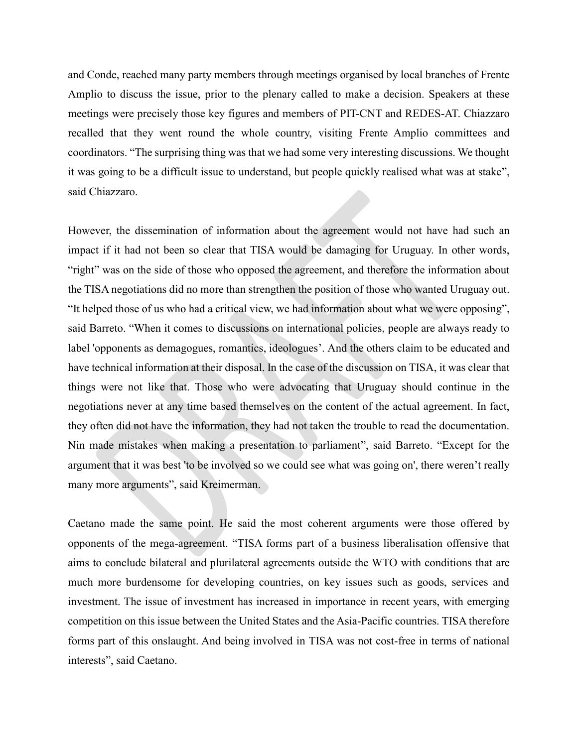and Conde, reached many party members through meetings organised by local branches of Frente Amplio to discuss the issue, prior to the plenary called to make a decision. Speakers at these meetings were precisely those key figures and members of PIT-CNT and REDES-AT. Chiazzaro recalled that they went round the whole country, visiting Frente Amplio committees and coordinators. "The surprising thing was that we had some very interesting discussions. We thought it was going to be a difficult issue to understand, but people quickly realised what was at stake", said Chiazzaro.

However, the dissemination of information about the agreement would not have had such an impact if it had not been so clear that TISA would be damaging for Uruguay. In other words, "right" was on the side of those who opposed the agreement, and therefore the information about the TISA negotiations did no more than strengthen the position of those who wanted Uruguay out. "It helped those of us who had a critical view, we had information about what we were opposing", said Barreto. "When it comes to discussions on international policies, people are always ready to label 'opponents as demagogues, romantics, ideologues'. And the others claim to be educated and have technical information at their disposal. In the case of the discussion on TISA, it was clear that things were not like that. Those who were advocating that Uruguay should continue in the negotiations never at any time based themselves on the content of the actual agreement. In fact, they often did not have the information, they had not taken the trouble to read the documentation. Nin made mistakes when making a presentation to parliament", said Barreto. "Except for the argument that it was best 'to be involved so we could see what was going on', there weren't really many more arguments", said Kreimerman.

Caetano made the same point. He said the most coherent arguments were those offered by opponents of the mega-agreement. "TISA forms part of a business liberalisation offensive that aims to conclude bilateral and plurilateral agreements outside the WTO with conditions that are much more burdensome for developing countries, on key issues such as goods, services and investment. The issue of investment has increased in importance in recent years, with emerging competition on this issue between the United States and the Asia-Pacific countries. TISA therefore forms part of this onslaught. And being involved in TISA was not cost-free in terms of national interests", said Caetano.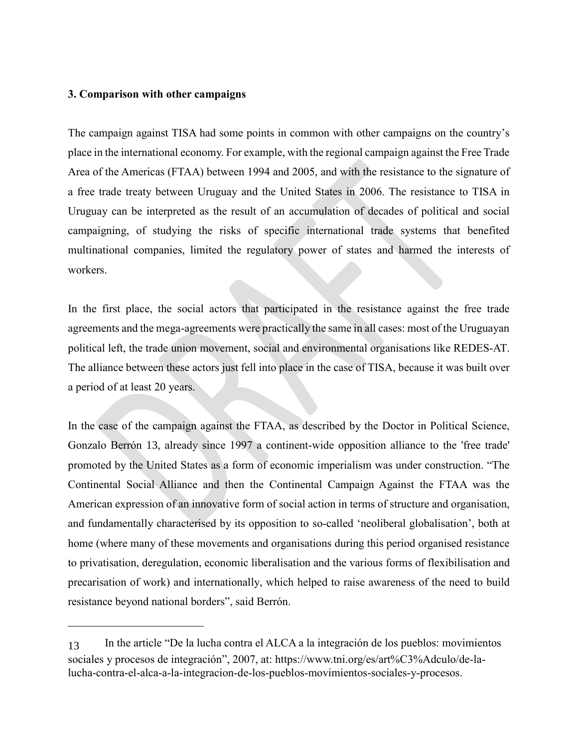#### **3. Comparison with other campaigns**

The campaign against TISA had some points in common with other campaigns on the country's place in the international economy. For example, with the regional campaign against the Free Trade Area of the Americas (FTAA) between 1994 and 2005, and with the resistance to the signature of a free trade treaty between Uruguay and the United States in 2006. The resistance to TISA in Uruguay can be interpreted as the result of an accumulation of decades of political and social campaigning, of studying the risks of specific international trade systems that benefited multinational companies, limited the regulatory power of states and harmed the interests of workers.

In the first place, the social actors that participated in the resistance against the free trade agreements and the mega-agreements were practically the same in all cases: most of the Uruguayan political left, the trade union movement, social and environmental organisations like REDES-AT. The alliance between these actors just fell into place in the case of TISA, because it was built over a period of at least 20 years.

In the case of the campaign against the FTAA, as described by the Doctor in Political Science, Gonzalo Berrón 13, already since 1997 a continent-wide opposition alliance to the 'free trade' promoted by the United States as a form of economic imperialism was under construction. "The Continental Social Alliance and then the Continental Campaign Against the FTAA was the American expression of an innovative form of social action in terms of structure and organisation, and fundamentally characterised by its opposition to so-called 'neoliberal globalisation', both at home (where many of these movements and organisations during this period organised resistance to privatisation, deregulation, economic liberalisation and the various forms of flexibilisation and precarisation of work) and internationally, which helped to raise awareness of the need to build resistance beyond national borders", said Berrón.

<sup>13</sup> In the article "De la lucha contra el ALCA a la integración de los pueblos: movimientos sociales y procesos de integración", 2007, at: https://www.tni.org/es/art%C3%Adculo/de-lalucha-contra-el-alca-a-la-integracion-de-los-pueblos-movimientos-sociales-y-procesos.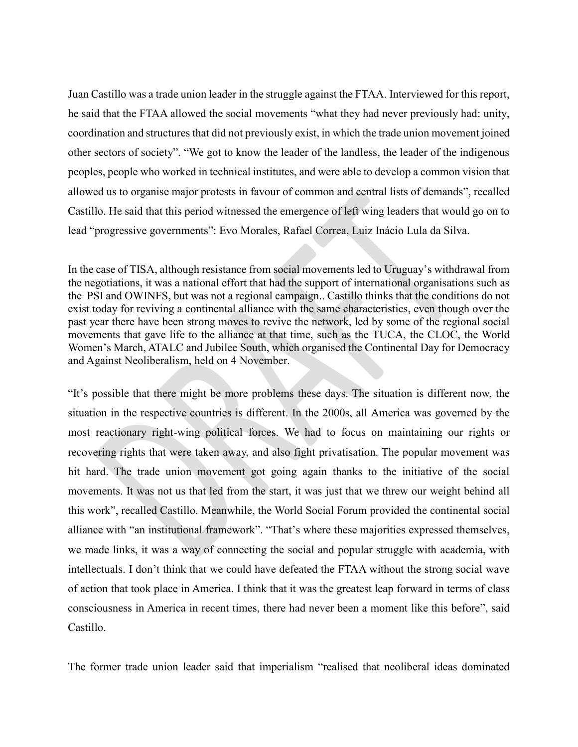Juan Castillo was a trade union leader in the struggle against the FTAA. Interviewed for this report, he said that the FTAA allowed the social movements "what they had never previously had: unity, coordination and structures that did not previously exist, in which the trade union movement joined other sectors of society". "We got to know the leader of the landless, the leader of the indigenous peoples, people who worked in technical institutes, and were able to develop a common vision that allowed us to organise major protests in favour of common and central lists of demands", recalled Castillo. He said that this period witnessed the emergence of left wing leaders that would go on to lead "progressive governments": Evo Morales, Rafael Correa, Luiz Inácio Lula da Silva.

In the case of TISA, although resistance from social movements led to Uruguay's withdrawal from the negotiations, it was a national effort that had the support of international organisations such as the PSI and OWINFS, but was not a regional campaign.. Castillo thinks that the conditions do not exist today for reviving a continental alliance with the same characteristics, even though over the past year there have been strong moves to revive the network, led by some of the regional social movements that gave life to the alliance at that time, such as the TUCA, the CLOC, the World Women's March, ATALC and Jubilee South, which organised the Continental Day for Democracy and Against Neoliberalism, held on 4 November.

"It's possible that there might be more problems these days. The situation is different now, the situation in the respective countries is different. In the 2000s, all America was governed by the most reactionary right-wing political forces. We had to focus on maintaining our rights or recovering rights that were taken away, and also fight privatisation. The popular movement was hit hard. The trade union movement got going again thanks to the initiative of the social movements. It was not us that led from the start, it was just that we threw our weight behind all this work", recalled Castillo. Meanwhile, the World Social Forum provided the continental social alliance with "an institutional framework". "That's where these majorities expressed themselves, we made links, it was a way of connecting the social and popular struggle with academia, with intellectuals. I don't think that we could have defeated the FTAA without the strong social wave of action that took place in America. I think that it was the greatest leap forward in terms of class consciousness in America in recent times, there had never been a moment like this before", said Castillo.

The former trade union leader said that imperialism "realised that neoliberal ideas dominated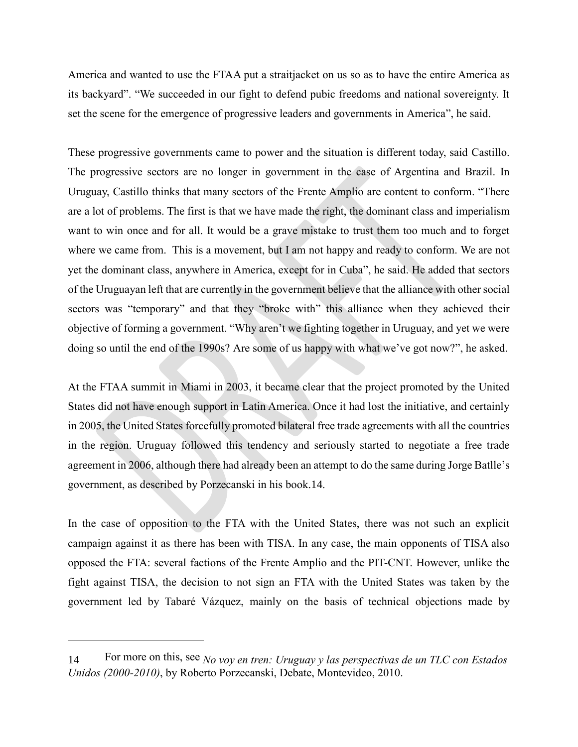America and wanted to use the FTAA put a straitjacket on us so as to have the entire America as its backyard". "We succeeded in our fight to defend pubic freedoms and national sovereignty. It set the scene for the emergence of progressive leaders and governments in America", he said.

These progressive governments came to power and the situation is different today, said Castillo. The progressive sectors are no longer in government in the case of Argentina and Brazil. In Uruguay, Castillo thinks that many sectors of the Frente Amplio are content to conform. "There are a lot of problems. The first is that we have made the right, the dominant class and imperialism want to win once and for all. It would be a grave mistake to trust them too much and to forget where we came from. This is a movement, but I am not happy and ready to conform. We are not yet the dominant class, anywhere in America, except for in Cuba", he said. He added that sectors of the Uruguayan left that are currently in the government believe that the alliance with other social sectors was "temporary" and that they "broke with" this alliance when they achieved their objective of forming a government. "Why aren't we fighting together in Uruguay, and yet we were doing so until the end of the 1990s? Are some of us happy with what we've got now?", he asked.

At the FTAA summit in Miami in 2003, it became clear that the project promoted by the United States did not have enough support in Latin America. Once it had lost the initiative, and certainly in 2005, the United States forcefully promoted bilateral free trade agreements with all the countries in the region. Uruguay followed this tendency and seriously started to negotiate a free trade agreement in 2006, although there had already been an attempt to do the same during Jorge Batlle's government, as described by Porzecanski in his book.14.

In the case of opposition to the FTA with the United States, there was not such an explicit campaign against it as there has been with TISA. In any case, the main opponents of TISA also opposed the FTA: several factions of the Frente Amplio and the PIT-CNT. However, unlike the fight against TISA, the decision to not sign an FTA with the United States was taken by the government led by Tabaré Vázquez, mainly on the basis of technical objections made by

<sup>14</sup> For more on this, see *No voy en tren: Uruguay y las perspectivas de un TLC con Estados Unidos (2000-2010)*, by Roberto Porzecanski, Debate, Montevideo, 2010.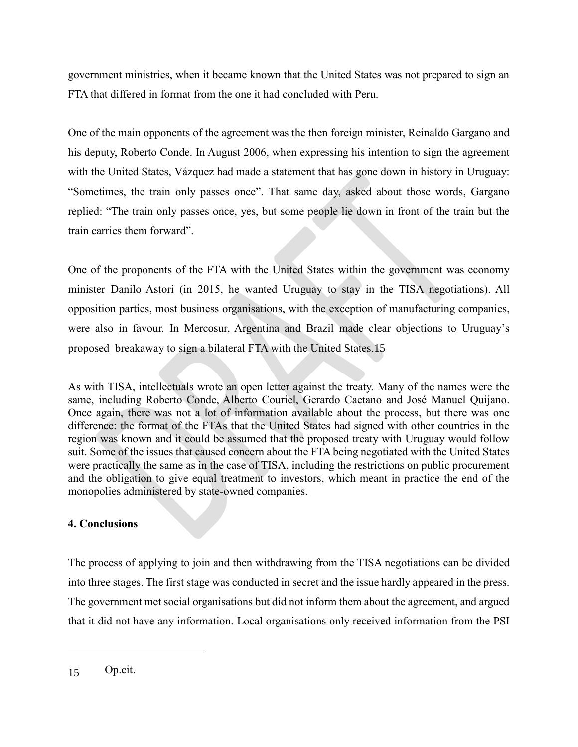government ministries, when it became known that the United States was not prepared to sign an FTA that differed in format from the one it had concluded with Peru.

One of the main opponents of the agreement was the then foreign minister, Reinaldo Gargano and his deputy, Roberto Conde. In August 2006, when expressing his intention to sign the agreement with the United States, Vázquez had made a statement that has gone down in history in Uruguay: "Sometimes, the train only passes once". That same day, asked about those words, Gargano replied: "The train only passes once, yes, but some people lie down in front of the train but the train carries them forward".

One of the proponents of the FTA with the United States within the government was economy minister Danilo Astori (in 2015, he wanted Uruguay to stay in the TISA negotiations). All opposition parties, most business organisations, with the exception of manufacturing companies, were also in favour. In Mercosur, Argentina and Brazil made clear objections to Uruguay's proposed breakaway to sign a bilateral FTA with the United States.15

As with TISA, intellectuals wrote an open letter against the treaty. Many of the names were the same, including Roberto Conde, Alberto Couriel, Gerardo Caetano and José Manuel Quijano. Once again, there was not a lot of information available about the process, but there was one difference: the format of the FTAs that the United States had signed with other countries in the region was known and it could be assumed that the proposed treaty with Uruguay would follow suit. Some of the issues that caused concern about the FTA being negotiated with the United States were practically the same as in the case of TISA, including the restrictions on public procurement and the obligation to give equal treatment to investors, which meant in practice the end of the monopolies administered by state-owned companies.

# **4. Conclusions**

The process of applying to join and then withdrawing from the TISA negotiations can be divided into three stages. The first stage was conducted in secret and the issue hardly appeared in the press. The government met social organisations but did not inform them about the agreement, and argued that it did not have any information. Local organisations only received information from the PSI

<sup>15</sup> Op.cit.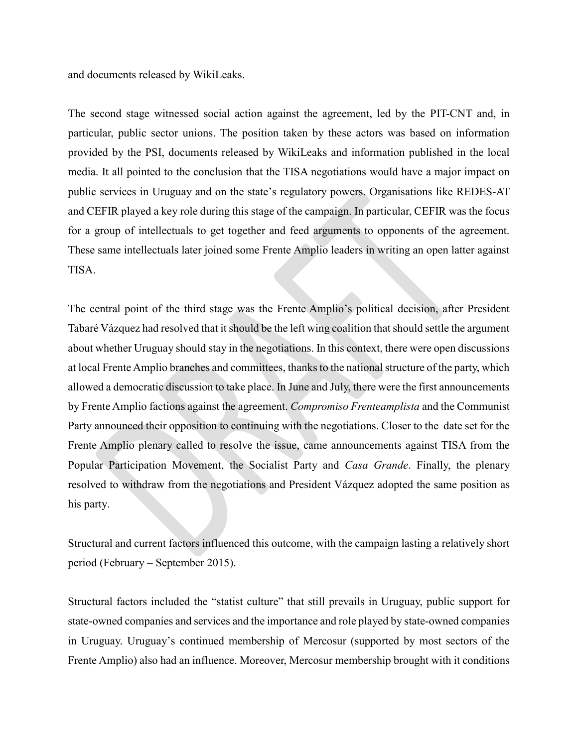and documents released by WikiLeaks.

The second stage witnessed social action against the agreement, led by the PIT-CNT and, in particular, public sector unions. The position taken by these actors was based on information provided by the PSI, documents released by WikiLeaks and information published in the local media. It all pointed to the conclusion that the TISA negotiations would have a major impact on public services in Uruguay and on the state's regulatory powers. Organisations like REDES-AT and CEFIR played a key role during this stage of the campaign. In particular, CEFIR was the focus for a group of intellectuals to get together and feed arguments to opponents of the agreement. These same intellectuals later joined some Frente Amplio leaders in writing an open latter against TISA.

The central point of the third stage was the Frente Amplio's political decision, after President Tabaré Vázquez had resolved that it should be the left wing coalition that should settle the argument about whether Uruguay should stay in the negotiations. In this context, there were open discussions at local Frente Amplio branches and committees, thanks to the national structure of the party, which allowed a democratic discussion to take place. In June and July, there were the first announcements by Frente Amplio factions against the agreement. *Compromiso Frenteamplista* and the Communist Party announced their opposition to continuing with the negotiations. Closer to the date set for the Frente Amplio plenary called to resolve the issue, came announcements against TISA from the Popular Participation Movement, the Socialist Party and *Casa Grande*. Finally, the plenary resolved to withdraw from the negotiations and President Vázquez adopted the same position as his party.

Structural and current factors influenced this outcome, with the campaign lasting a relatively short period (February – September 2015).

Structural factors included the "statist culture" that still prevails in Uruguay, public support for state-owned companies and services and the importance and role played by state-owned companies in Uruguay. Uruguay's continued membership of Mercosur (supported by most sectors of the Frente Amplio) also had an influence. Moreover, Mercosur membership brought with it conditions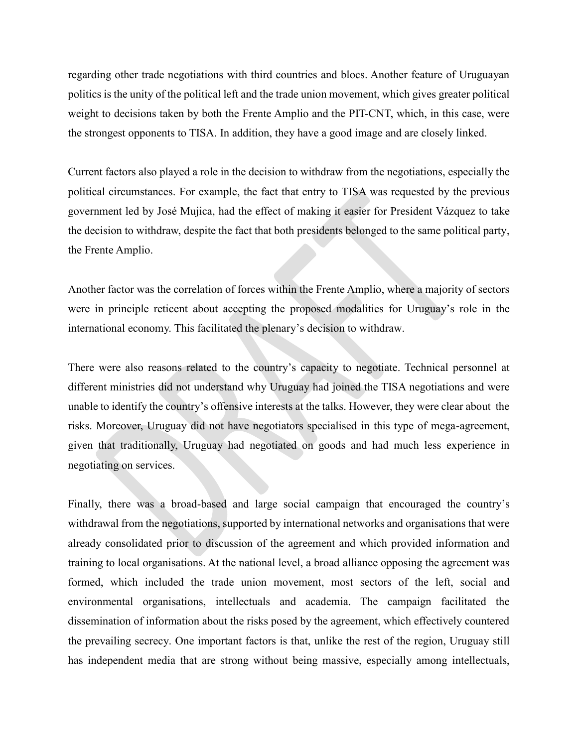regarding other trade negotiations with third countries and blocs. Another feature of Uruguayan politics is the unity of the political left and the trade union movement, which gives greater political weight to decisions taken by both the Frente Amplio and the PIT-CNT, which, in this case, were the strongest opponents to TISA. In addition, they have a good image and are closely linked.

Current factors also played a role in the decision to withdraw from the negotiations, especially the political circumstances. For example, the fact that entry to TISA was requested by the previous government led by José Mujica, had the effect of making it easier for President Vázquez to take the decision to withdraw, despite the fact that both presidents belonged to the same political party, the Frente Amplio.

Another factor was the correlation of forces within the Frente Amplio, where a majority of sectors were in principle reticent about accepting the proposed modalities for Uruguay's role in the international economy. This facilitated the plenary's decision to withdraw.

There were also reasons related to the country's capacity to negotiate. Technical personnel at different ministries did not understand why Uruguay had joined the TISA negotiations and were unable to identify the country's offensive interests at the talks. However, they were clear about the risks. Moreover, Uruguay did not have negotiators specialised in this type of mega-agreement, given that traditionally, Uruguay had negotiated on goods and had much less experience in negotiating on services.

Finally, there was a broad-based and large social campaign that encouraged the country's withdrawal from the negotiations, supported by international networks and organisations that were already consolidated prior to discussion of the agreement and which provided information and training to local organisations. At the national level, a broad alliance opposing the agreement was formed, which included the trade union movement, most sectors of the left, social and environmental organisations, intellectuals and academia. The campaign facilitated the dissemination of information about the risks posed by the agreement, which effectively countered the prevailing secrecy. One important factors is that, unlike the rest of the region, Uruguay still has independent media that are strong without being massive, especially among intellectuals,